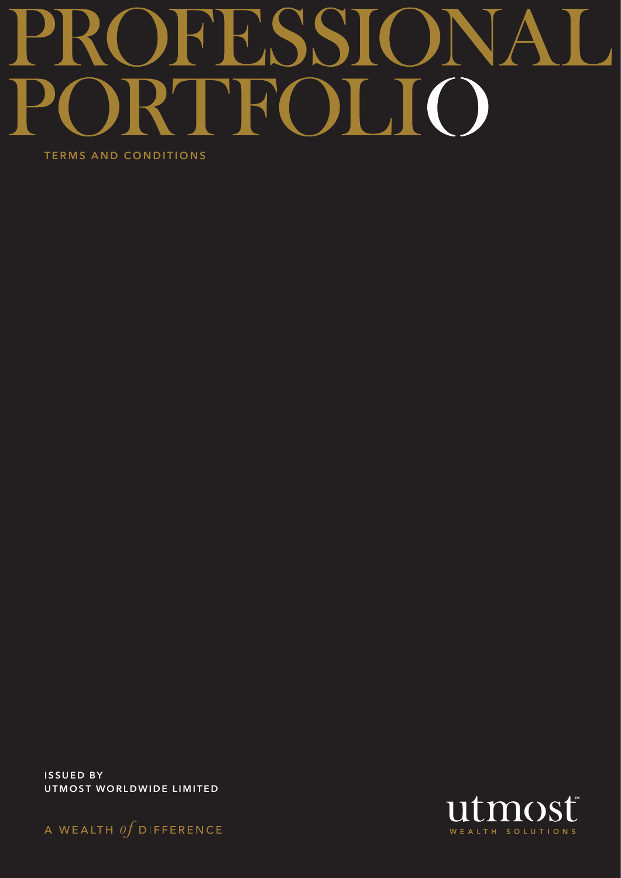# OFFSSIC NA  $\blacktriangleright$ **TROLIO** TERMS AND CONDITIONS

ISSUED BY UTMOST WORLDWIDE LIMITED



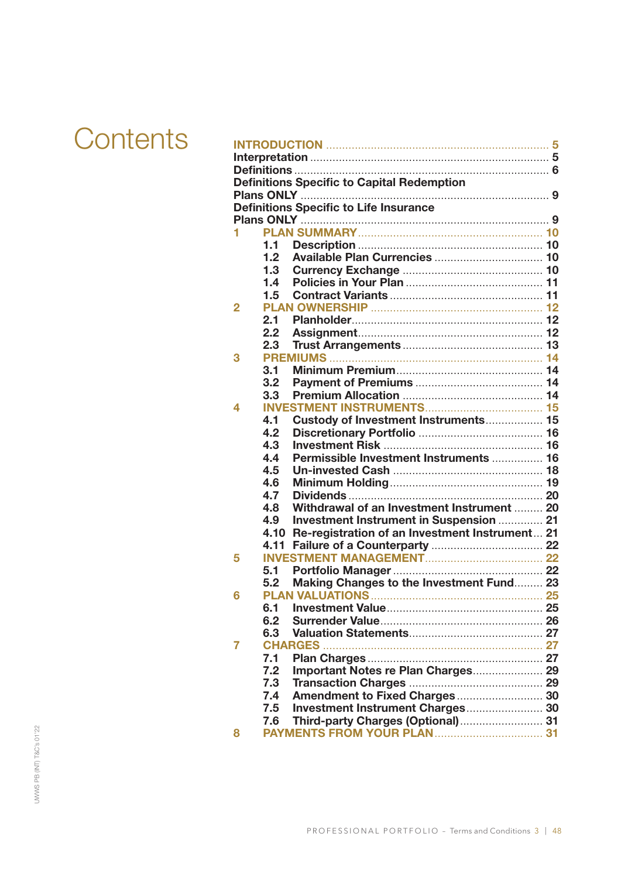# **Contents**

|                | <b>Definitions Specific to Capital Redemption</b>   |  |
|----------------|-----------------------------------------------------|--|
|                |                                                     |  |
|                | <b>Definitions Specific to Life Insurance</b>       |  |
|                |                                                     |  |
| 1              |                                                     |  |
|                | 1.1                                                 |  |
|                | 1.2                                                 |  |
|                | 1.3                                                 |  |
|                | 1.4                                                 |  |
|                | 1.5                                                 |  |
| $\overline{2}$ |                                                     |  |
|                | 2.1                                                 |  |
|                | 2.2                                                 |  |
|                | 2.3                                                 |  |
| 3              |                                                     |  |
|                | 3.1                                                 |  |
|                | 3.2                                                 |  |
|                | 3.3                                                 |  |
| 4              |                                                     |  |
|                | Custody of Investment Instruments 15<br>4.1         |  |
|                | 4.2                                                 |  |
|                | 4.3                                                 |  |
|                | 4.4<br>Permissible Investment Instruments  16       |  |
|                | 4.5                                                 |  |
|                | 4.6                                                 |  |
|                | 4.7                                                 |  |
|                | Withdrawal of an Investment Instrument  20<br>4.8   |  |
|                | Investment Instrument in Suspension  21<br>4.9      |  |
|                | 4.10 Re-registration of an Investment Instrument 21 |  |
|                |                                                     |  |
| 5              |                                                     |  |
|                | 5.1<br>5.2                                          |  |
| 6              | Making Changes to the Investment Fund 23            |  |
|                |                                                     |  |
|                | 6.2                                                 |  |
|                | 6.3                                                 |  |
| 7              | <b>CHARGES.</b>                                     |  |
|                | 7.1                                                 |  |
|                | Important Notes re Plan Charges 29<br>7.2           |  |
|                | 7.3                                                 |  |
|                | Amendment to Fixed Charges 30<br>7.4                |  |
|                | 7.5<br>Investment Instrument Charges 30             |  |
|                | Third-party Charges (Optional) 31<br>7.6            |  |
| 8              |                                                     |  |
|                |                                                     |  |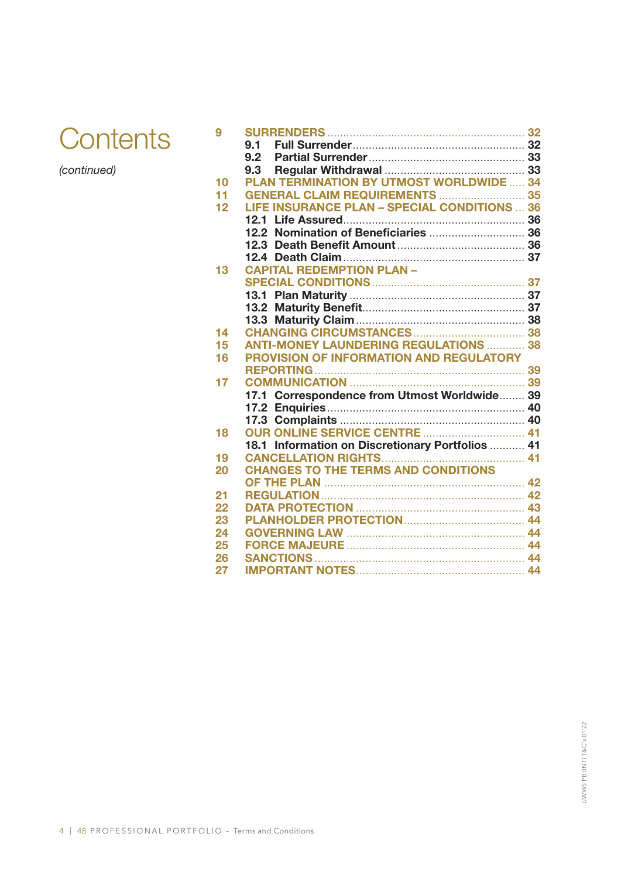

*(continued)*

| 9  |                                                     |  |
|----|-----------------------------------------------------|--|
|    | 9.1                                                 |  |
|    | 9.2                                                 |  |
|    | 9.3                                                 |  |
| 10 | <b>PLAN TERMINATION BY UTMOST WORLDWIDE  34</b>     |  |
| 11 | <b>GENERAL CLAIM REQUIREMENTS  35</b>               |  |
| 12 | <b>LIFE INSURANCE PLAN - SPECIAL CONDITIONS  36</b> |  |
|    |                                                     |  |
|    |                                                     |  |
|    |                                                     |  |
|    |                                                     |  |
| 13 | <b>CAPITAL REDEMPTION PLAN -</b>                    |  |
|    |                                                     |  |
|    |                                                     |  |
|    |                                                     |  |
|    |                                                     |  |
| 14 |                                                     |  |
| 15 | <b>ANTI-MONEY LAUNDERING REGULATIONS  38</b>        |  |
| 16 | <b>PROVISION OF INFORMATION AND REGULATORY</b>      |  |
|    |                                                     |  |
| 17 |                                                     |  |
|    | 17.1 Correspondence from Utmost Worldwide 39        |  |
|    |                                                     |  |
|    |                                                     |  |
| 18 |                                                     |  |
|    | 18.1 Information on Discretionary Portfolios  41    |  |
| 19 |                                                     |  |
| 20 | <b>CHANGES TO THE TERMS AND CONDITIONS</b>          |  |
|    |                                                     |  |
| 21 |                                                     |  |
| 22 |                                                     |  |
| 23 |                                                     |  |
| 24 |                                                     |  |
| 25 |                                                     |  |
| 26 |                                                     |  |
| 27 |                                                     |  |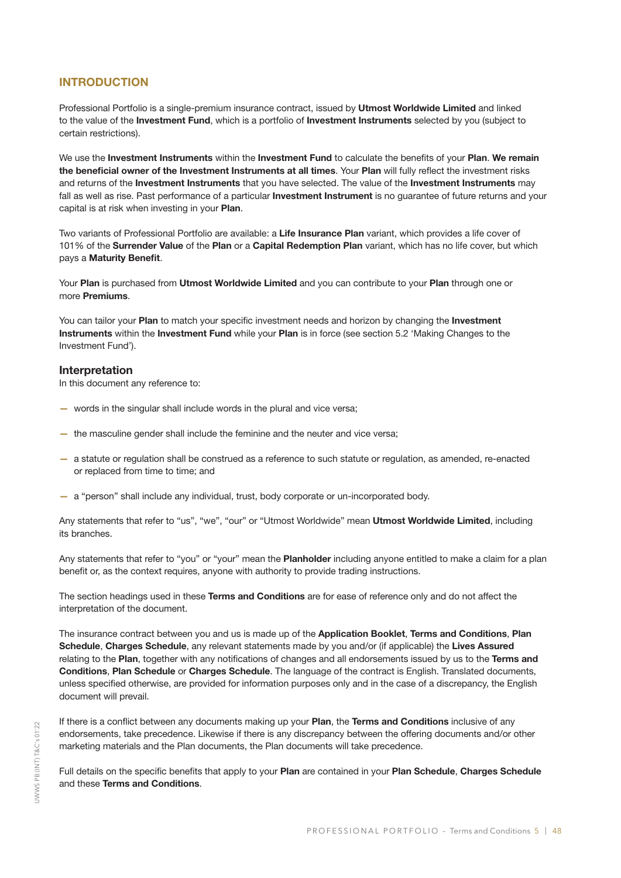#### INTRODUCTION

Professional Portfolio is a single-premium insurance contract, issued by Utmost Worldwide Limited and linked to the value of the Investment Fund, which is a portfolio of Investment Instruments selected by you (subject to certain restrictions).

We use the Investment Instruments within the Investment Fund to calculate the benefits of your Plan. We remain the beneficial owner of the Investment Instruments at all times. Your Plan will fully reflect the investment risks and returns of the Investment Instruments that you have selected. The value of the Investment Instruments may fall as well as rise. Past performance of a particular **Investment Instrument** is no guarantee of future returns and your capital is at risk when investing in your Plan.

Two variants of Professional Portfolio are available: a Life Insurance Plan variant, which provides a life cover of 101% of the Surrender Value of the Plan or a Capital Redemption Plan variant, which has no life cover, but which pays a Maturity Benefit.

Your Plan is purchased from Utmost Worldwide Limited and you can contribute to your Plan through one or more Premiums.

You can tailor your Plan to match your specific investment needs and horizon by changing the Investment Instruments within the Investment Fund while your Plan is in force (see section 5.2 'Making Changes to the Investment Fund').

#### Interpretation

In this document any reference to:

- words in the singular shall include words in the plural and vice versa;
- the masculine gender shall include the feminine and the neuter and vice versa;
- a statute or regulation shall be construed as a reference to such statute or regulation, as amended, re-enacted or replaced from time to time; and
- a "person" shall include any individual, trust, body corporate or un-incorporated body.

Any statements that refer to "us", "we", "our" or "Utmost Worldwide" mean Utmost Worldwide Limited, including its branches.

Any statements that refer to "you" or "your" mean the Planholder including anyone entitled to make a claim for a plan benefit or, as the context requires, anyone with authority to provide trading instructions.

The section headings used in these Terms and Conditions are for ease of reference only and do not affect the interpretation of the document.

The insurance contract between you and us is made up of the Application Booklet, Terms and Conditions, Plan Schedule, Charges Schedule, any relevant statements made by you and/or (if applicable) the Lives Assured relating to the Plan, together with any notifications of changes and all endorsements issued by us to the Terms and Conditions, Plan Schedule or Charges Schedule. The language of the contract is English. Translated documents, unless specified otherwise, are provided for information purposes only and in the case of a discrepancy, the English document will prevail.

If there is a conflict between any documents making up your Plan, the Terms and Conditions inclusive of any endorsements, take precedence. Likewise if there is any discrepancy between the offering documents and/or other marketing materials and the Plan documents, the Plan documents will take precedence.

Full details on the specific benefits that apply to your Plan are contained in your Plan Schedule, Charges Schedule and these Terms and Conditions.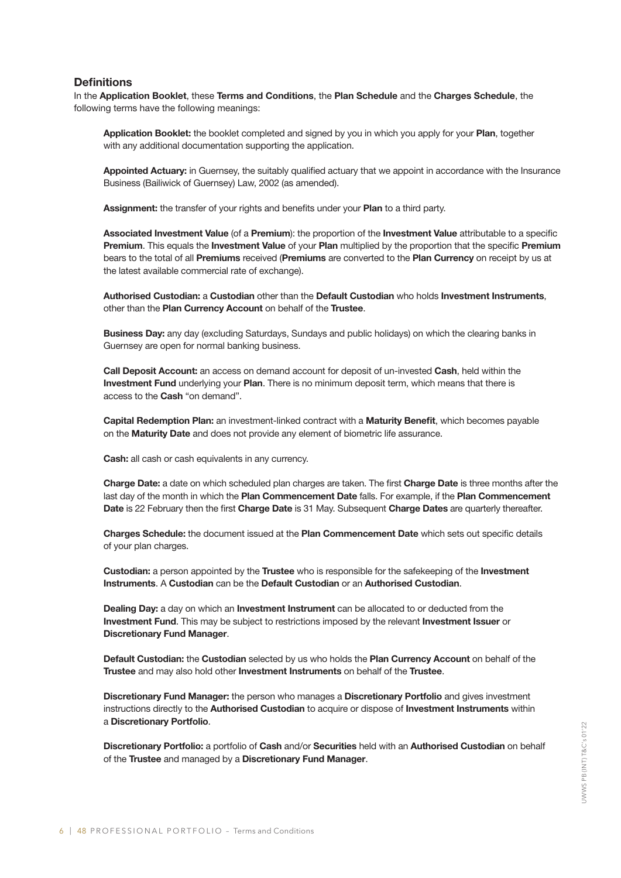#### **Definitions**

In the Application Booklet, these Terms and Conditions, the Plan Schedule and the Charges Schedule, the following terms have the following meanings:

Application Booklet: the booklet completed and signed by you in which you apply for your Plan, together with any additional documentation supporting the application.

Appointed Actuary: in Guernsey, the suitably qualified actuary that we appoint in accordance with the Insurance Business (Bailiwick of Guernsey) Law, 2002 (as amended).

Assignment: the transfer of your rights and benefits under your Plan to a third party.

Associated Investment Value (of a Premium): the proportion of the Investment Value attributable to a specific Premium. This equals the Investment Value of your Plan multiplied by the proportion that the specific Premium bears to the total of all Premiums received (Premiums are converted to the Plan Currency on receipt by us at the latest available commercial rate of exchange).

Authorised Custodian: a Custodian other than the Default Custodian who holds Investment Instruments, other than the Plan Currency Account on behalf of the Trustee.

**Business Day:** any day (excluding Saturdays, Sundays and public holidays) on which the clearing banks in Guernsey are open for normal banking business.

Call Deposit Account: an access on demand account for deposit of un-invested Cash, held within the Investment Fund underlying your Plan. There is no minimum deposit term, which means that there is access to the Cash "on demand".

Capital Redemption Plan: an investment-linked contract with a Maturity Benefit, which becomes payable on the Maturity Date and does not provide any element of biometric life assurance.

Cash: all cash or cash equivalents in any currency.

Charge Date: a date on which scheduled plan charges are taken. The first Charge Date is three months after the last day of the month in which the Plan Commencement Date falls. For example, if the Plan Commencement Date is 22 February then the first Charge Date is 31 May. Subsequent Charge Dates are quarterly thereafter.

Charges Schedule: the document issued at the Plan Commencement Date which sets out specific details of your plan charges.

**Custodian:** a person appointed by the Trustee who is responsible for the safekeeping of the Investment Instruments. A Custodian can be the Default Custodian or an Authorised Custodian.

Dealing Day: a day on which an Investment Instrument can be allocated to or deducted from the Investment Fund. This may be subject to restrictions imposed by the relevant Investment Issuer or Discretionary Fund Manager.

Default Custodian: the Custodian selected by us who holds the Plan Currency Account on behalf of the Trustee and may also hold other Investment Instruments on behalf of the Trustee.

Discretionary Fund Manager: the person who manages a Discretionary Portfolio and gives investment instructions directly to the Authorised Custodian to acquire or dispose of Investment Instruments within a Discretionary Portfolio.

Discretionary Portfolio: a portfolio of Cash and/or Securities held with an Authorised Custodian on behalf of the Trustee and managed by a Discretionary Fund Manager.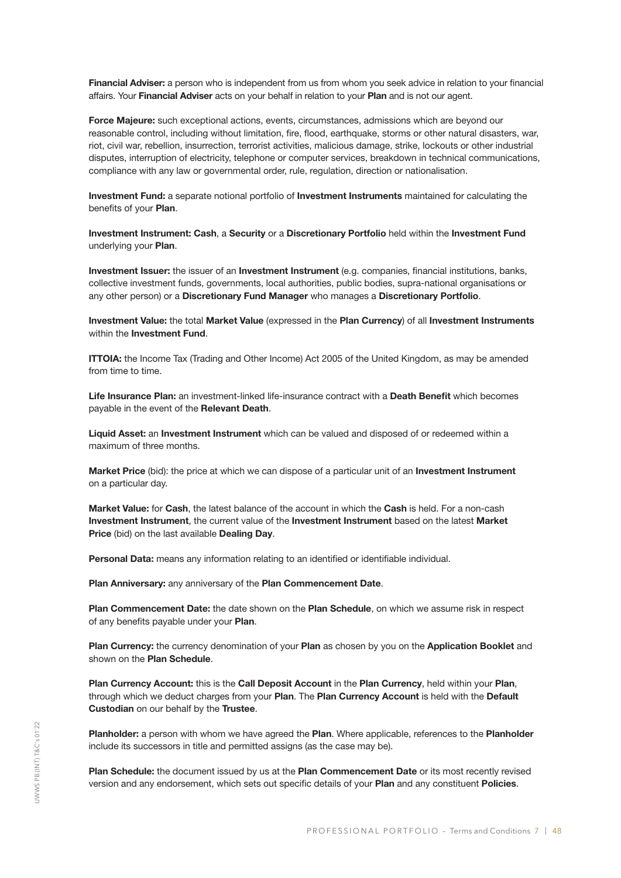Financial Adviser: a person who is independent from us from whom you seek advice in relation to your financial affairs. Your Financial Adviser acts on your behalf in relation to your Plan and is not our agent.

Force Majeure: such exceptional actions, events, circumstances, admissions which are beyond our reasonable control, including without limitation, fire, flood, earthquake, storms or other natural disasters, war, riot, civil war, rebellion, insurrection, terrorist activities, malicious damage, strike, lockouts or other industrial disputes, interruption of electricity, telephone or computer services, breakdown in technical communications, compliance with any law or governmental order, rule, regulation, direction or nationalisation.

Investment Fund: a separate notional portfolio of Investment Instruments maintained for calculating the benefits of your Plan.

Investment Instrument: Cash, a Security or a Discretionary Portfolio held within the Investment Fund underlying your Plan.

Investment Issuer: the issuer of an Investment Instrument (e.g. companies, financial institutions, banks, collective investment funds, governments, local authorities, public bodies, supra-national organisations or any other person) or a Discretionary Fund Manager who manages a Discretionary Portfolio.

Investment Value: the total Market Value (expressed in the Plan Currency) of all Investment Instruments within the **Investment Fund.** 

ITTOIA: the Income Tax (Trading and Other Income) Act 2005 of the United Kingdom, as may be amended from time to time.

Life Insurance Plan: an investment-linked life-insurance contract with a Death Benefit which becomes payable in the event of the Relevant Death.

Liquid Asset: an Investment Instrument which can be valued and disposed of or redeemed within a maximum of three months.

Market Price (bid): the price at which we can dispose of a particular unit of an Investment Instrument on a particular day.

Market Value: for Cash, the latest balance of the account in which the Cash is held. For a non-cash Investment Instrument, the current value of the Investment Instrument based on the latest Market Price (bid) on the last available Dealing Day.

Personal Data: means any information relating to an identified or identifiable individual.

Plan Anniversary: any anniversary of the Plan Commencement Date.

Plan Commencement Date: the date shown on the Plan Schedule, on which we assume risk in respect of any benefits payable under your Plan.

Plan Currency: the currency denomination of your Plan as chosen by you on the Application Booklet and shown on the **Plan Schedule**.

Plan Currency Account: this is the Call Deposit Account in the Plan Currency, held within your Plan, through which we deduct charges from your Plan. The Plan Currency Account is held with the Default **Custodian** on our behalf by the Trustee.

Planholder: a person with whom we have agreed the Plan. Where applicable, references to the Planholder include its successors in title and permitted assigns (as the case may be).

Plan Schedule: the document issued by us at the Plan Commencement Date or its most recently revised version and any endorsement, which sets out specific details of your Plan and any constituent Policies.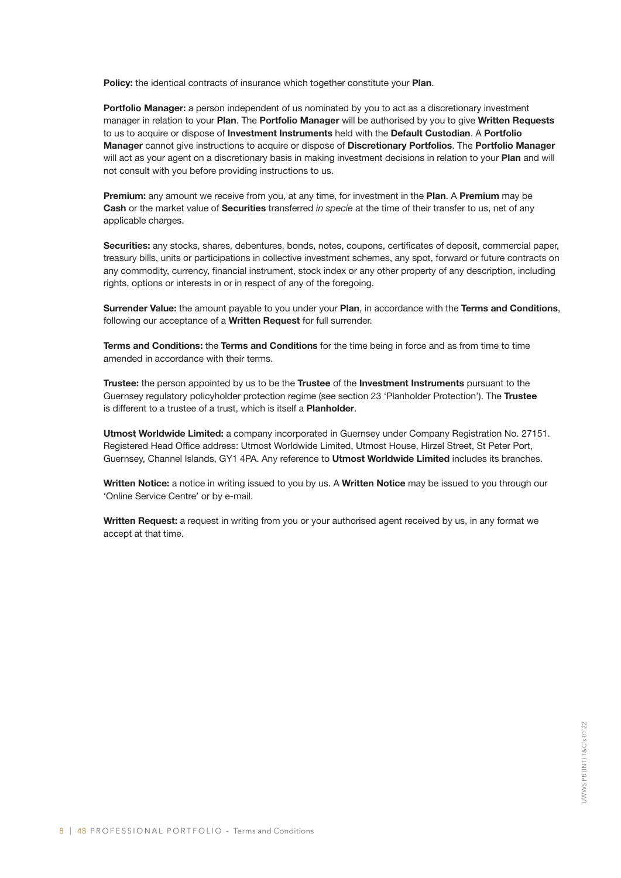Policy: the identical contracts of insurance which together constitute your Plan.

Portfolio Manager: a person independent of us nominated by you to act as a discretionary investment manager in relation to your Plan. The Portfolio Manager will be authorised by you to give Written Requests to us to acquire or dispose of Investment Instruments held with the Default Custodian. A Portfolio Manager cannot give instructions to acquire or dispose of Discretionary Portfolios. The Portfolio Manager will act as your agent on a discretionary basis in making investment decisions in relation to your Plan and will not consult with you before providing instructions to us.

**Premium:** any amount we receive from you, at any time, for investment in the **Plan**. A **Premium** may be Cash or the market value of Securities transferred *in specie* at the time of their transfer to us, net of any applicable charges.

Securities: any stocks, shares, debentures, bonds, notes, coupons, certificates of deposit, commercial paper, treasury bills, units or participations in collective investment schemes, any spot, forward or future contracts on any commodity, currency, financial instrument, stock index or any other property of any description, including rights, options or interests in or in respect of any of the foregoing.

Surrender Value: the amount payable to you under your Plan, in accordance with the Terms and Conditions, following our acceptance of a Written Request for full surrender.

Terms and Conditions: the Terms and Conditions for the time being in force and as from time to time amended in accordance with their terms.

Trustee: the person appointed by us to be the Trustee of the Investment Instruments pursuant to the Guernsey regulatory policyholder protection regime (see section 23 'Planholder Protection'). The Trustee is different to a trustee of a trust, which is itself a **Planholder**.

Utmost Worldwide Limited: a company incorporated in Guernsey under Company Registration No. 27151. Registered Head Office address: Utmost Worldwide Limited, Utmost House, Hirzel Street, St Peter Port, Guernsey, Channel Islands, GY1 4PA. Any reference to Utmost Worldwide Limited includes its branches.

Written Notice: a notice in writing issued to you by us. A Written Notice may be issued to you through our 'Online Service Centre' or by e-mail.

Written Request: a request in writing from you or your authorised agent received by us, in any format we accept at that time.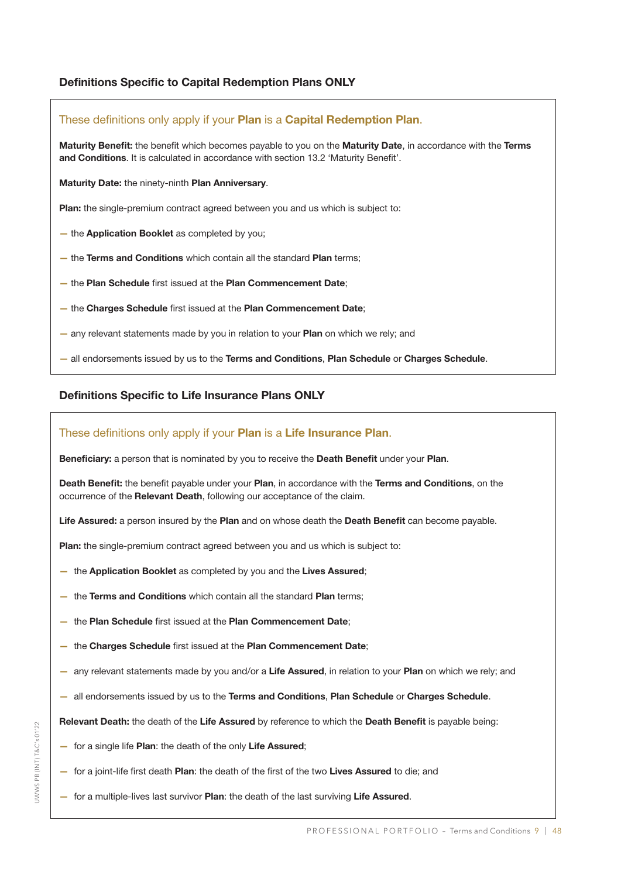#### Definitions Specific to Capital Redemption Plans ONLY

### These definitions only apply if your Plan is a Capital Redemption Plan. Maturity Benefit: the benefit which becomes payable to you on the Maturity Date, in accordance with the Terms and Conditions. It is calculated in accordance with section 13.2 'Maturity Benefit'. Maturity Date: the ninety-ninth Plan Anniversary. Plan: the single-premium contract agreed between you and us which is subject to: - the Application Booklet as completed by you; - the Terms and Conditions which contain all the standard Plan terms; — the Plan Schedule first issued at the Plan Commencement Date; — the Charges Schedule first issued at the Plan Commencement Date;

- any relevant statements made by you in relation to your **Plan** on which we rely; and
- all endorsements issued by us to the Terms and Conditions, Plan Schedule or Charges Schedule.

### Definitions Specific to Life Insurance Plans ONLY

#### These definitions only apply if your **Plan** is a **Life Insurance Plan**.

Beneficiary: a person that is nominated by you to receive the Death Benefit under your Plan.

Death Benefit: the benefit payable under your Plan, in accordance with the Terms and Conditions, on the occurrence of the Relevant Death, following our acceptance of the claim.

Life Assured: a person insured by the Plan and on whose death the Death Benefit can become payable.

Plan: the single-premium contract agreed between you and us which is subject to:

- the Application Booklet as completed by you and the Lives Assured;
- the Terms and Conditions which contain all the standard Plan terms;
- the Plan Schedule first issued at the Plan Commencement Date;
- the Charges Schedule first issued at the Plan Commencement Date;
- any relevant statements made by you and/or a Life Assured, in relation to your Plan on which we rely; and
- $-$  all endorsements issued by us to the Terms and Conditions, Plan Schedule or Charges Schedule.
- Relevant Death: the death of the Life Assured by reference to which the Death Benefit is payable being:
- for a single life Plan: the death of the only Life Assured;
- for a joint-life first death Plan: the death of the first of the two Lives Assured to die; and
- for a multiple-lives last survivor Plan: the death of the last surviving Life Assured.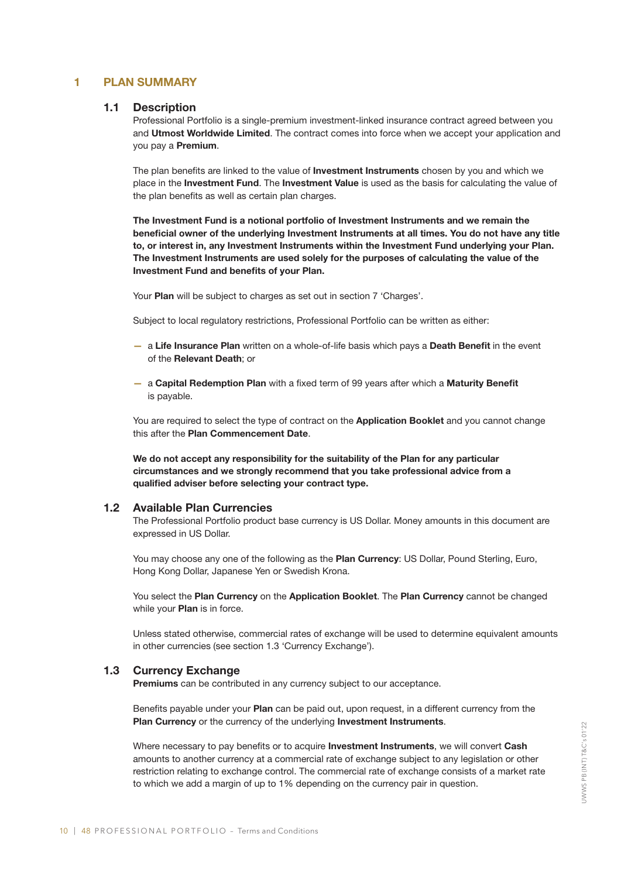#### 1 PLAN SUMMARY

#### 1.1 Description

Professional Portfolio is a single-premium investment-linked insurance contract agreed between you and Utmost Worldwide Limited. The contract comes into force when we accept your application and you pay a Premium.

The plan benefits are linked to the value of **Investment Instruments** chosen by you and which we place in the Investment Fund. The Investment Value is used as the basis for calculating the value of the plan benefits as well as certain plan charges.

The Investment Fund is a notional portfolio of Investment Instruments and we remain the beneficial owner of the underlying Investment Instruments at all times. You do not have any title to, or interest in, any Investment Instruments within the Investment Fund underlying your Plan. The Investment Instruments are used solely for the purposes of calculating the value of the Investment Fund and benefits of your Plan.

Your Plan will be subject to charges as set out in section 7 'Charges'.

Subject to local regulatory restrictions, Professional Portfolio can be written as either:

- a Life Insurance Plan written on a whole-of-life basis which pays a Death Benefit in the event of the Relevant Death; or
- a Capital Redemption Plan with a fixed term of 99 years after which a Maturity Benefit is payable.

You are required to select the type of contract on the **Application Booklet** and you cannot change this after the Plan Commencement Date.

We do not accept any responsibility for the suitability of the Plan for any particular circumstances and we strongly recommend that you take professional advice from a qualified adviser before selecting your contract type.

#### 1.2 Available Plan Currencies

The Professional Portfolio product base currency is US Dollar. Money amounts in this document are expressed in US Dollar.

You may choose any one of the following as the Plan Currency: US Dollar, Pound Sterling, Euro, Hong Kong Dollar, Japanese Yen or Swedish Krona.

You select the Plan Currency on the Application Booklet. The Plan Currency cannot be changed while your **Plan** is in force.

Unless stated otherwise, commercial rates of exchange will be used to determine equivalent amounts in other currencies (see section 1.3 'Currency Exchange').

#### 1.3 Currency Exchange

Premiums can be contributed in any currency subject to our acceptance.

Benefits payable under your Plan can be paid out, upon request, in a different currency from the Plan Currency or the currency of the underlying Investment Instruments.

Where necessary to pay benefits or to acquire **Investment Instruments**, we will convert Cash amounts to another currency at a commercial rate of exchange subject to any legislation or other restriction relating to exchange control. The commercial rate of exchange consists of a market rate to which we add a margin of up to 1% depending on the currency pair in question.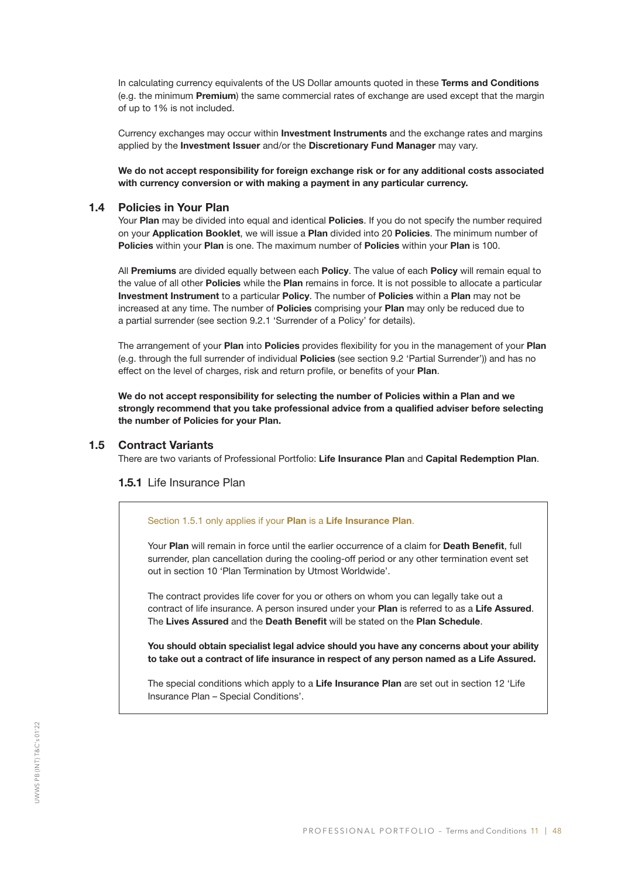In calculating currency equivalents of the US Dollar amounts quoted in these Terms and Conditions (e.g. the minimum Premium) the same commercial rates of exchange are used except that the margin of up to 1% is not included.

Currency exchanges may occur within **Investment Instruments** and the exchange rates and margins applied by the Investment Issuer and/or the Discretionary Fund Manager may vary.

We do not accept responsibility for foreign exchange risk or for any additional costs associated with currency conversion or with making a payment in any particular currency.

#### 1.4 Policies in Your Plan

Your Plan may be divided into equal and identical Policies. If you do not specify the number required on your Application Booklet, we will issue a Plan divided into 20 Policies. The minimum number of Policies within your Plan is one. The maximum number of Policies within your Plan is 100.

All Premiums are divided equally between each Policy. The value of each Policy will remain equal to the value of all other Policies while the Plan remains in force. It is not possible to allocate a particular Investment Instrument to a particular Policy. The number of Policies within a Plan may not be increased at any time. The number of Policies comprising your Plan may only be reduced due to a partial surrender (see section 9.2.1 'Surrender of a Policy' for details).

The arrangement of your Plan into Policies provides flexibility for you in the management of your Plan (e.g. through the full surrender of individual Policies (see section 9.2 'Partial Surrender')) and has no effect on the level of charges, risk and return profile, or benefits of your Plan.

We do not accept responsibility for selecting the number of Policies within a Plan and we strongly recommend that you take professional advice from a qualified adviser before selecting the number of Policies for your Plan.

#### 1.5 Contract Variants

There are two variants of Professional Portfolio: Life Insurance Plan and Capital Redemption Plan.

#### 1.5.1 Life Insurance Plan

#### Section 1.5.1 only applies if your Plan is a Life Insurance Plan.

Your Plan will remain in force until the earlier occurrence of a claim for Death Benefit, full surrender, plan cancellation during the cooling-off period or any other termination event set out in section 10 'Plan Termination by Utmost Worldwide'.

The contract provides life cover for you or others on whom you can legally take out a contract of life insurance. A person insured under your Plan is referred to as a Life Assured. The Lives Assured and the Death Benefit will be stated on the Plan Schedule.

You should obtain specialist legal advice should you have any concerns about your ability to take out a contract of life insurance in respect of any person named as a Life Assured.

The special conditions which apply to a Life Insurance Plan are set out in section 12 'Life Insurance Plan – Special Conditions'.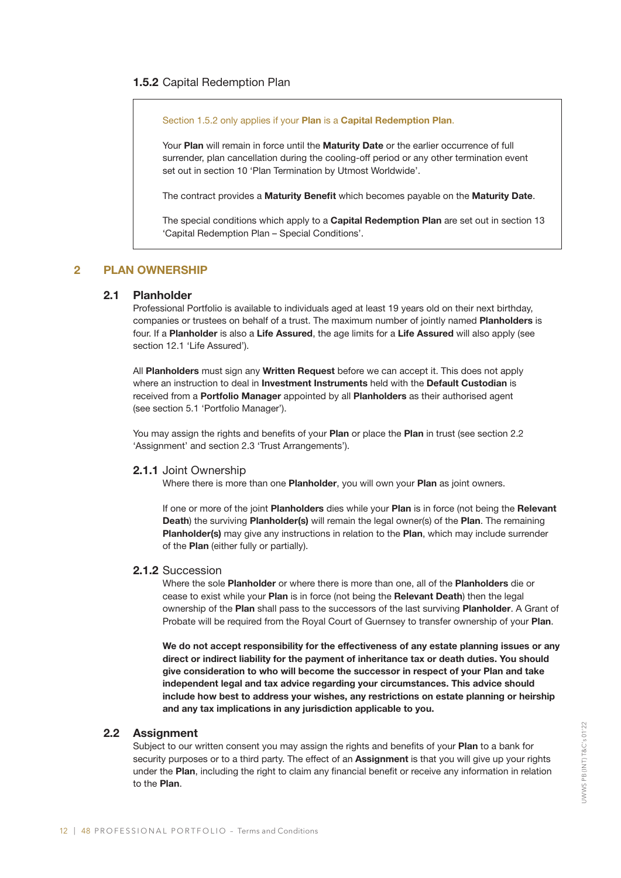#### 1.5.2 Capital Redemption Plan

Section 1.5.2 only applies if your Plan is a Capital Redemption Plan.

Your Plan will remain in force until the Maturity Date or the earlier occurrence of full surrender, plan cancellation during the cooling-off period or any other termination event set out in section 10 'Plan Termination by Utmost Worldwide'.

The contract provides a Maturity Benefit which becomes payable on the Maturity Date.

The special conditions which apply to a Capital Redemption Plan are set out in section 13 'Capital Redemption Plan – Special Conditions'.

#### 2 PLAN OWNERSHIP

#### 2.1 Planholder

Professional Portfolio is available to individuals aged at least 19 years old on their next birthday, companies or trustees on behalf of a trust. The maximum number of jointly named Planholders is four. If a Planholder is also a Life Assured, the age limits for a Life Assured will also apply (see section 12.1 'Life Assured').

All Planholders must sign any Written Request before we can accept it. This does not apply where an instruction to deal in **Investment Instruments** held with the **Default Custodian** is received from a Portfolio Manager appointed by all Planholders as their authorised agent (see section 5.1 'Portfolio Manager').

You may assign the rights and benefits of your Plan or place the Plan in trust (see section 2.2 'Assignment' and section 2.3 'Trust Arrangements').

#### 2.1.1 Joint Ownership

Where there is more than one Planholder, you will own your Plan as joint owners.

If one or more of the joint Planholders dies while your Plan is in force (not being the Relevant Death) the surviving Planholder(s) will remain the legal owner(s) of the Plan. The remaining Planholder(s) may give any instructions in relation to the Plan, which may include surrender of the Plan (either fully or partially).

#### 2.1.2 Succession

Where the sole Planholder or where there is more than one, all of the Planholders die or cease to exist while your Plan is in force (not being the Relevant Death) then the legal ownership of the Plan shall pass to the successors of the last surviving Planholder. A Grant of Probate will be required from the Royal Court of Guernsey to transfer ownership of your Plan.

We do not accept responsibility for the effectiveness of any estate planning issues or any direct or indirect liability for the payment of inheritance tax or death duties. You should give consideration to who will become the successor in respect of your Plan and take independent legal and tax advice regarding your circumstances. This advice should include how best to address your wishes, any restrictions on estate planning or heirship and any tax implications in any jurisdiction applicable to you.

#### 2.2 Assignment

Subject to our written consent you may assign the rights and benefits of your Plan to a bank for security purposes or to a third party. The effect of an **Assignment** is that you will give up your rights under the Plan, including the right to claim any financial benefit or receive any information in relation to the Plan.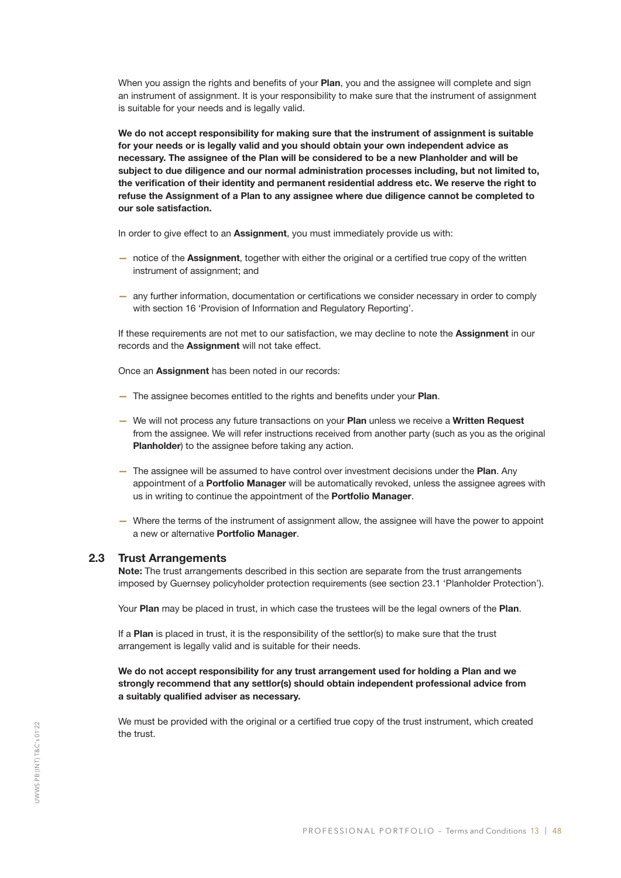When you assign the rights and benefits of your Plan, you and the assignee will complete and sign an instrument of assignment. It is your responsibility to make sure that the instrument of assignment is suitable for your needs and is legally valid.

We do not accept responsibility for making sure that the instrument of assignment is suitable for your needs or is legally valid and you should obtain your own independent advice as necessary. The assignee of the Plan will be considered to be a new Planholder and will be subject to due diligence and our normal administration processes including, but not limited to, the verification of their identity and permanent residential address etc. We reserve the right to refuse the Assignment of a Plan to any assignee where due diligence cannot be completed to our sole satisfaction.

In order to give effect to an Assignment, you must immediately provide us with:

- notice of the Assignment, together with either the original or a certified true copy of the written instrument of assignment; and
- any further information, documentation or certifications we consider necessary in order to comply with section 16 'Provision of Information and Regulatory Reporting'.

If these requirements are not met to our satisfaction, we may decline to note the **Assignment** in our records and the Assignment will not take effect.

Once an Assignment has been noted in our records:

- The assignee becomes entitled to the rights and benefits under your Plan.
- We will not process any future transactions on your Plan unless we receive a Written Request from the assignee. We will refer instructions received from another party (such as you as the original Planholder) to the assignee before taking any action.
- The assignee will be assumed to have control over investment decisions under the Plan. Any appointment of a Portfolio Manager will be automatically revoked, unless the assignee agrees with us in writing to continue the appointment of the Portfolio Manager.
- Where the terms of the instrument of assignment allow, the assignee will have the power to appoint a new or alternative Portfolio Manager.

#### 2.3 Trust Arrangements

Note: The trust arrangements described in this section are separate from the trust arrangements imposed by Guernsey policyholder protection requirements (see section 23.1 'Planholder Protection').

Your Plan may be placed in trust, in which case the trustees will be the legal owners of the Plan.

If a Plan is placed in trust, it is the responsibility of the settlor(s) to make sure that the trust arrangement is legally valid and is suitable for their needs.

#### We do not accept responsibility for any trust arrangement used for holding a Plan and we strongly recommend that any settlor(s) should obtain independent professional advice from a suitably qualified adviser as necessary.

We must be provided with the original or a certified true copy of the trust instrument, which created the trust.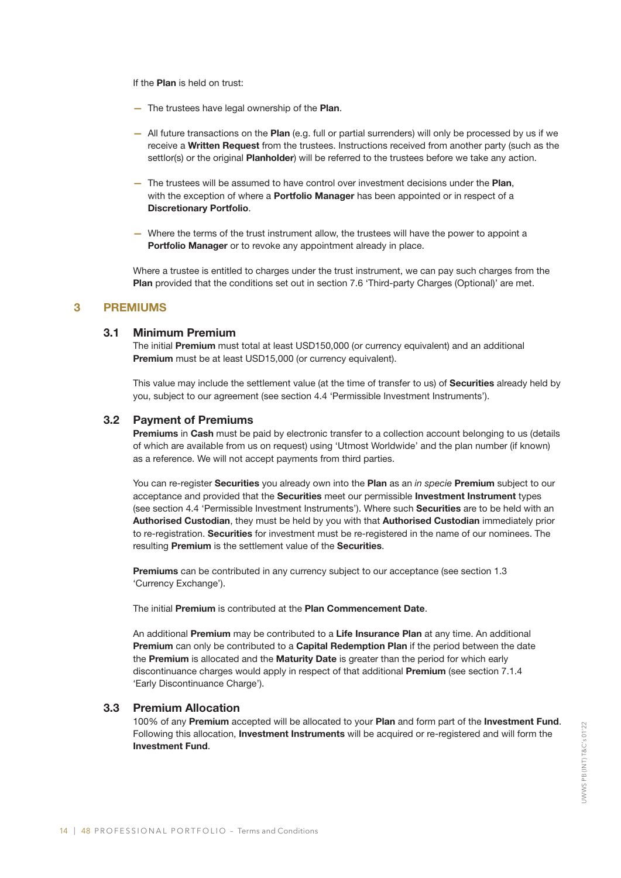If the Plan is held on trust:

- The trustees have legal ownership of the Plan.
- All future transactions on the Plan (e.g. full or partial surrenders) will only be processed by us if we receive a Written Request from the trustees. Instructions received from another party (such as the settlor(s) or the original **Planholder**) will be referred to the trustees before we take any action.
- The trustees will be assumed to have control over investment decisions under the Plan, with the exception of where a **Portfolio Manager** has been appointed or in respect of a Discretionary Portfolio.
- Where the terms of the trust instrument allow, the trustees will have the power to appoint a Portfolio Manager or to revoke any appointment already in place.

Where a trustee is entitled to charges under the trust instrument, we can pay such charges from the Plan provided that the conditions set out in section 7.6 'Third-party Charges (Optional)' are met.

#### 3 PREMIUMS

#### 3.1 Minimum Premium

The initial Premium must total at least USD150,000 (or currency equivalent) and an additional Premium must be at least USD15,000 (or currency equivalent).

This value may include the settlement value (at the time of transfer to us) of **Securities** already held by you, subject to our agreement (see section 4.4 'Permissible Investment Instruments').

#### 3.2 Payment of Premiums

Premiums in Cash must be paid by electronic transfer to a collection account belonging to us (details of which are available from us on request) using 'Utmost Worldwide' and the plan number (if known) as a reference. We will not accept payments from third parties.

You can re-register Securities you already own into the Plan as an *in specie* Premium subject to our acceptance and provided that the Securities meet our permissible Investment Instrument types (see section 4.4 'Permissible Investment Instruments'). Where such Securities are to be held with an Authorised Custodian, they must be held by you with that Authorised Custodian immediately prior to re-registration. Securities for investment must be re-registered in the name of our nominees. The resulting Premium is the settlement value of the Securities.

Premiums can be contributed in any currency subject to our acceptance (see section 1.3 'Currency Exchange').

The initial Premium is contributed at the Plan Commencement Date.

An additional Premium may be contributed to a Life Insurance Plan at any time. An additional Premium can only be contributed to a Capital Redemption Plan if the period between the date the Premium is allocated and the Maturity Date is greater than the period for which early discontinuance charges would apply in respect of that additional Premium (see section 7.1.4 'Early Discontinuance Charge').

#### 3.3 Premium Allocation

100% of any Premium accepted will be allocated to your Plan and form part of the Investment Fund. Following this allocation, Investment Instruments will be acquired or re-registered and will form the Investment Fund.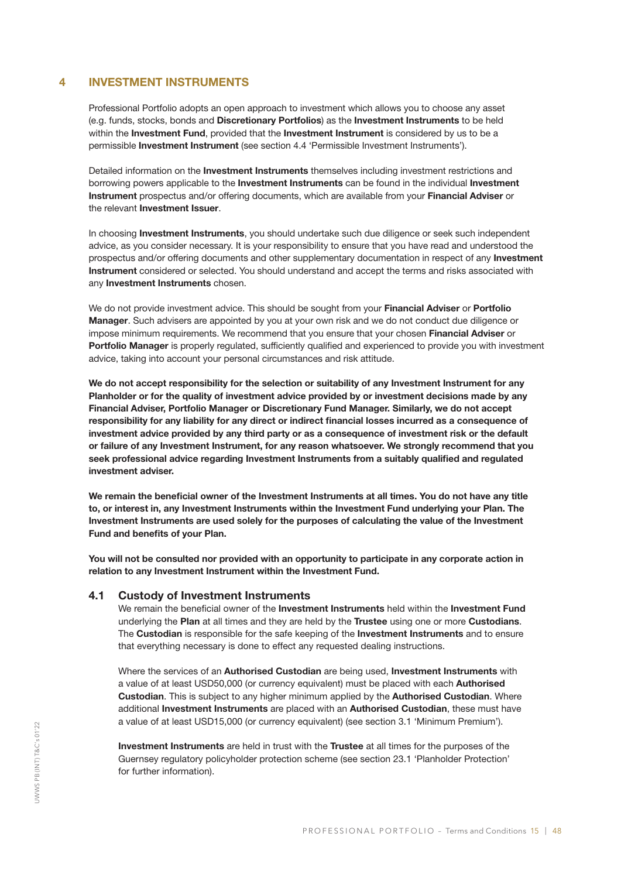#### 4 INVESTMENT INSTRUMENTS

Professional Portfolio adopts an open approach to investment which allows you to choose any asset (e.g. funds, stocks, bonds and Discretionary Portfolios) as the Investment Instruments to be held within the Investment Fund, provided that the Investment Instrument is considered by us to be a permissible Investment Instrument (see section 4.4 'Permissible Investment Instruments').

Detailed information on the Investment Instruments themselves including investment restrictions and borrowing powers applicable to the Investment Instruments can be found in the individual Investment Instrument prospectus and/or offering documents, which are available from your Financial Adviser or the relevant **Investment Issuer**.

In choosing Investment Instruments, you should undertake such due diligence or seek such independent advice, as you consider necessary. It is your responsibility to ensure that you have read and understood the prospectus and/or offering documents and other supplementary documentation in respect of any Investment Instrument considered or selected. You should understand and accept the terms and risks associated with any **Investment Instruments** chosen.

We do not provide investment advice. This should be sought from your Financial Adviser or Portfolio Manager. Such advisers are appointed by you at your own risk and we do not conduct due diligence or impose minimum requirements. We recommend that you ensure that your chosen Financial Adviser or Portfolio Manager is properly regulated, sufficiently qualified and experienced to provide you with investment advice, taking into account your personal circumstances and risk attitude.

We do not accept responsibility for the selection or suitability of any Investment Instrument for any Planholder or for the quality of investment advice provided by or investment decisions made by any Financial Adviser, Portfolio Manager or Discretionary Fund Manager. Similarly, we do not accept responsibility for any liability for any direct or indirect financial losses incurred as a consequence of investment advice provided by any third party or as a consequence of investment risk or the default or failure of any Investment Instrument, for any reason whatsoever. We strongly recommend that you seek professional advice regarding Investment Instruments from a suitably qualified and regulated investment adviser.

We remain the beneficial owner of the Investment Instruments at all times. You do not have any title to, or interest in, any Investment Instruments within the Investment Fund underlying your Plan. The Investment Instruments are used solely for the purposes of calculating the value of the Investment Fund and benefits of your Plan.

You will not be consulted nor provided with an opportunity to participate in any corporate action in relation to any Investment Instrument within the Investment Fund.

#### 4.1 Custody of Investment Instruments

We remain the beneficial owner of the Investment Instruments held within the Investment Fund underlying the Plan at all times and they are held by the Trustee using one or more Custodians. The Custodian is responsible for the safe keeping of the Investment Instruments and to ensure that everything necessary is done to effect any requested dealing instructions.

Where the services of an Authorised Custodian are being used, Investment Instruments with a value of at least USD50,000 (or currency equivalent) must be placed with each **Authorised** Custodian. This is subject to any higher minimum applied by the Authorised Custodian. Where additional Investment Instruments are placed with an Authorised Custodian, these must have a value of at least USD15,000 (or currency equivalent) (see section 3.1 'Minimum Premium').

Investment Instruments are held in trust with the Trustee at all times for the purposes of the Guernsey regulatory policyholder protection scheme (see section 23.1 'Planholder Protection' for further information).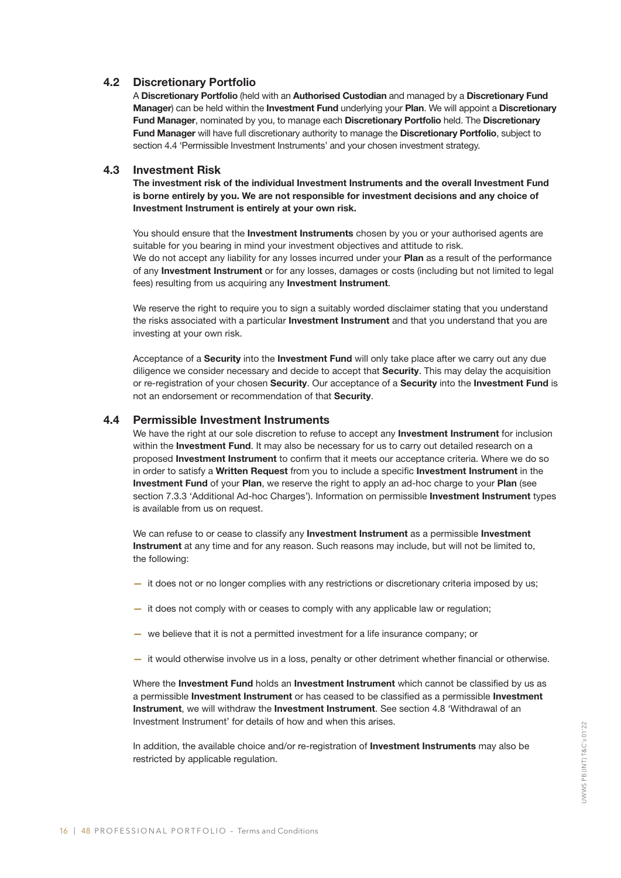#### 4.2 Discretionary Portfolio

A Discretionary Portfolio (held with an Authorised Custodian and managed by a Discretionary Fund Manager) can be held within the Investment Fund underlying your Plan. We will appoint a Discretionary Fund Manager, nominated by you, to manage each Discretionary Portfolio held. The Discretionary Fund Manager will have full discretionary authority to manage the Discretionary Portfolio, subject to section 4.4 'Permissible Investment Instruments' and your chosen investment strategy.

#### 4.3 Investment Risk

The investment risk of the individual Investment Instruments and the overall Investment Fund is borne entirely by you. We are not responsible for investment decisions and any choice of Investment Instrument is entirely at your own risk.

You should ensure that the Investment Instruments chosen by you or your authorised agents are suitable for you bearing in mind your investment objectives and attitude to risk. We do not accept any liability for any losses incurred under your Plan as a result of the performance of any Investment Instrument or for any losses, damages or costs (including but not limited to legal fees) resulting from us acquiring any Investment Instrument.

We reserve the right to require you to sign a suitably worded disclaimer stating that you understand the risks associated with a particular Investment Instrument and that you understand that you are investing at your own risk.

Acceptance of a Security into the Investment Fund will only take place after we carry out any due diligence we consider necessary and decide to accept that Security. This may delay the acquisition or re-registration of your chosen Security. Our acceptance of a Security into the Investment Fund is not an endorsement or recommendation of that Security.

#### 4.4 Permissible Investment Instruments

We have the right at our sole discretion to refuse to accept any **Investment Instrument** for inclusion within the Investment Fund. It may also be necessary for us to carry out detailed research on a proposed Investment Instrument to confirm that it meets our acceptance criteria. Where we do so in order to satisfy a Written Request from you to include a specific Investment Instrument in the Investment Fund of your Plan, we reserve the right to apply an ad-hoc charge to your Plan (see section 7.3.3 'Additional Ad-hoc Charges'). Information on permissible Investment Instrument types is available from us on request.

We can refuse to or cease to classify any **Investment Instrument** as a permissible Investment Instrument at any time and for any reason. Such reasons may include, but will not be limited to, the following:

- it does not or no longer complies with any restrictions or discretionary criteria imposed by us;
- it does not comply with or ceases to comply with any applicable law or regulation;
- we believe that it is not a permitted investment for a life insurance company; or
- it would otherwise involve us in a loss, penalty or other detriment whether financial or otherwise.

Where the Investment Fund holds an Investment Instrument which cannot be classified by us as a permissible Investment Instrument or has ceased to be classified as a permissible Investment Instrument, we will withdraw the Investment Instrument. See section 4.8 'Withdrawal of an Investment Instrument' for details of how and when this arises.

In addition, the available choice and/or re-registration of Investment Instruments may also be restricted by applicable regulation.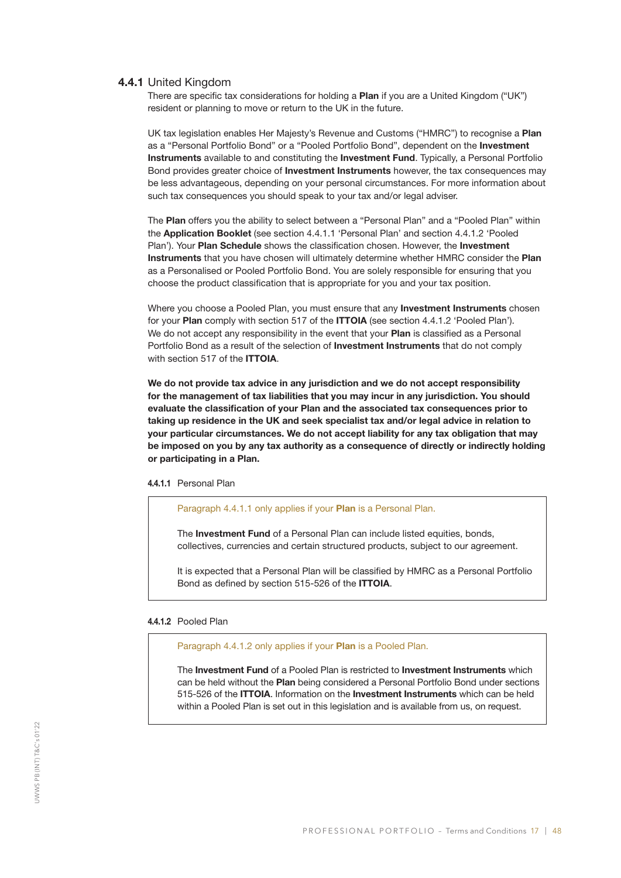#### 4.4.1 United Kingdom

There are specific tax considerations for holding a Plan if you are a United Kingdom ("UK") resident or planning to move or return to the UK in the future.

UK tax legislation enables Her Majesty's Revenue and Customs ("HMRC") to recognise a Plan as a "Personal Portfolio Bond" or a "Pooled Portfolio Bond", dependent on the Investment Instruments available to and constituting the Investment Fund. Typically, a Personal Portfolio Bond provides greater choice of **Investment Instruments** however, the tax consequences may be less advantageous, depending on your personal circumstances. For more information about such tax consequences you should speak to your tax and/or legal adviser.

The Plan offers you the ability to select between a "Personal Plan" and a "Pooled Plan" within the Application Booklet (see section 4.4.1.1 'Personal Plan' and section 4.4.1.2 'Pooled Plan'). Your Plan Schedule shows the classification chosen. However, the Investment Instruments that you have chosen will ultimately determine whether HMRC consider the Plan as a Personalised or Pooled Portfolio Bond. You are solely responsible for ensuring that you choose the product classification that is appropriate for you and your tax position.

Where you choose a Pooled Plan, you must ensure that any **Investment Instruments** chosen for your Plan comply with section 517 of the ITTOIA (see section 4.4.1.2 'Pooled Plan'). We do not accept any responsibility in the event that your **Plan** is classified as a Personal Portfolio Bond as a result of the selection of **Investment Instruments** that do not comply with section 517 of the **ITTOIA**.

We do not provide tax advice in any jurisdiction and we do not accept responsibility for the management of tax liabilities that you may incur in any jurisdiction. You should evaluate the classification of your Plan and the associated tax consequences prior to taking up residence in the UK and seek specialist tax and/or legal advice in relation to your particular circumstances. We do not accept liability for any tax obligation that may be imposed on you by any tax authority as a consequence of directly or indirectly holding or participating in a Plan.

4.4.1.1 Personal Plan

Paragraph 4.4.1.1 only applies if your **Plan** is a Personal Plan.

The Investment Fund of a Personal Plan can include listed equities, bonds, collectives, currencies and certain structured products, subject to our agreement.

It is expected that a Personal Plan will be classified by HMRC as a Personal Portfolio Bond as defined by section 515-526 of the ITTOIA.

#### 4.4.1.2 Pooled Plan

Paragraph 4.4.1.2 only applies if your **Plan** is a Pooled Plan.

The **Investment Fund** of a Pooled Plan is restricted to **Investment Instruments** which can be held without the Plan being considered a Personal Portfolio Bond under sections 515-526 of the ITTOIA. Information on the Investment Instruments which can be held within a Pooled Plan is set out in this legislation and is available from us, on request.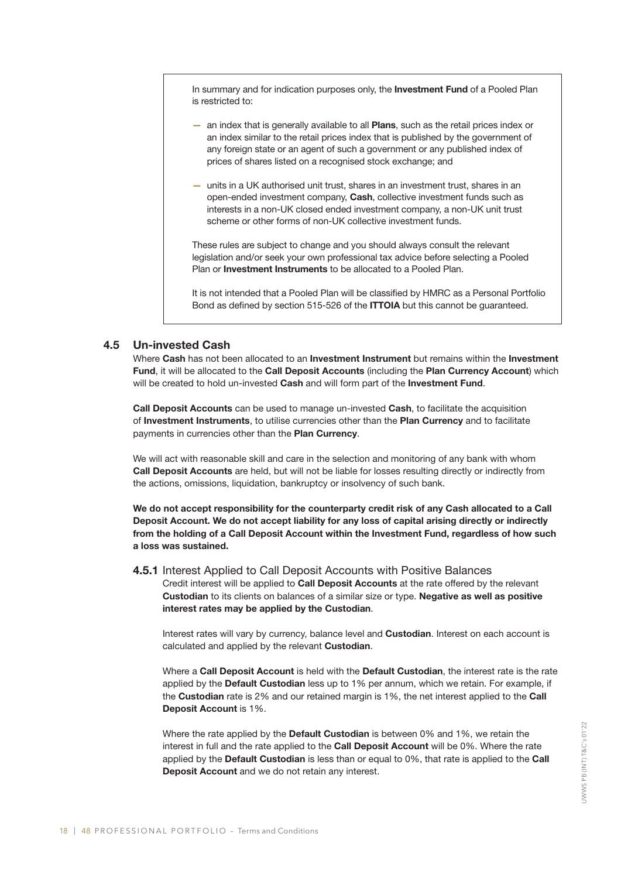In summary and for indication purposes only, the Investment Fund of a Pooled Plan is restricted to:

- an index that is generally available to all Plans, such as the retail prices index or an index similar to the retail prices index that is published by the government of any foreign state or an agent of such a government or any published index of prices of shares listed on a recognised stock exchange; and
- units in a UK authorised unit trust, shares in an investment trust, shares in an open-ended investment company, Cash, collective investment funds such as interests in a non-UK closed ended investment company, a non-UK unit trust scheme or other forms of non-UK collective investment funds.

These rules are subject to change and you should always consult the relevant legislation and/or seek your own professional tax advice before selecting a Pooled Plan or Investment Instruments to be allocated to a Pooled Plan.

It is not intended that a Pooled Plan will be classified by HMRC as a Personal Portfolio Bond as defined by section 515-526 of the ITTOIA but this cannot be guaranteed.

#### 4.5 Un-invested Cash

Where Cash has not been allocated to an Investment Instrument but remains within the Investment Fund, it will be allocated to the Call Deposit Accounts (including the Plan Currency Account) which will be created to hold un-invested Cash and will form part of the Investment Fund.

Call Deposit Accounts can be used to manage un-invested Cash, to facilitate the acquisition of Investment Instruments, to utilise currencies other than the Plan Currency and to facilitate payments in currencies other than the Plan Currency.

We will act with reasonable skill and care in the selection and monitoring of any bank with whom Call Deposit Accounts are held, but will not be liable for losses resulting directly or indirectly from the actions, omissions, liquidation, bankruptcy or insolvency of such bank.

We do not accept responsibility for the counterparty credit risk of any Cash allocated to a Call Deposit Account. We do not accept liability for any loss of capital arising directly or indirectly from the holding of a Call Deposit Account within the Investment Fund, regardless of how such a loss was sustained.

4.5.1 Interest Applied to Call Deposit Accounts with Positive Balances

Credit interest will be applied to Call Deposit Accounts at the rate offered by the relevant Custodian to its clients on balances of a similar size or type. Negative as well as positive interest rates may be applied by the Custodian.

Interest rates will vary by currency, balance level and **Custodian**. Interest on each account is calculated and applied by the relevant Custodian.

Where a Call Deposit Account is held with the Default Custodian, the interest rate is the rate applied by the Default Custodian less up to 1% per annum, which we retain. For example, if the Custodian rate is 2% and our retained margin is 1%, the net interest applied to the Call Deposit Account is 1%.

Where the rate applied by the Default Custodian is between 0% and 1%, we retain the interest in full and the rate applied to the **Call Deposit Account** will be 0%. Where the rate applied by the Default Custodian is less than or equal to 0%, that rate is applied to the Call Deposit Account and we do not retain any interest.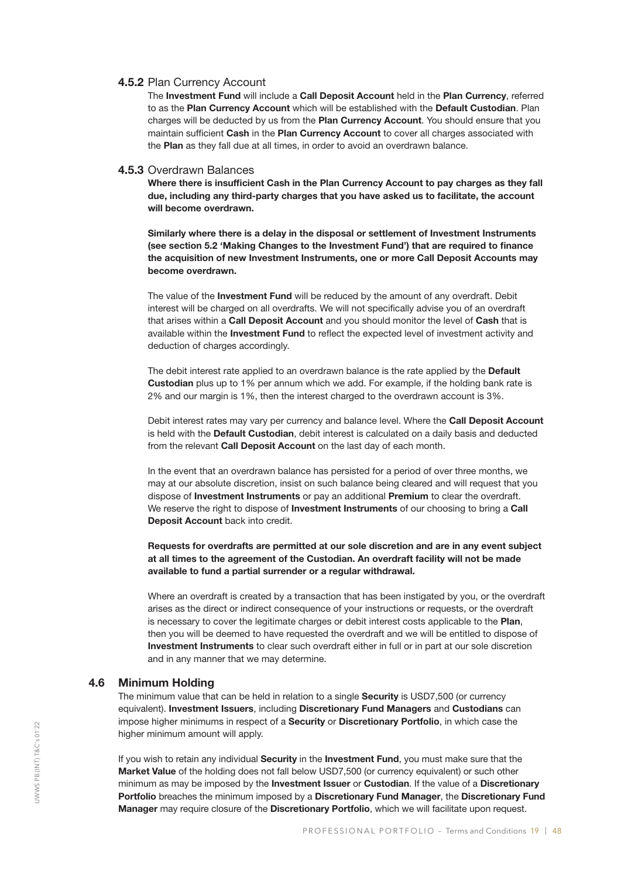#### 4.5.2 Plan Currency Account

The Investment Fund will include a Call Deposit Account held in the Plan Currency, referred to as the Plan Currency Account which will be established with the Default Custodian. Plan charges will be deducted by us from the Plan Currency Account. You should ensure that you maintain sufficient Cash in the Plan Currency Account to cover all charges associated with the Plan as they fall due at all times, in order to avoid an overdrawn balance.

#### 4.5.3 Overdrawn Balances

Where there is insufficient Cash in the Plan Currency Account to pay charges as they fall due, including any third-party charges that you have asked us to facilitate, the account will become overdrawn.

Similarly where there is a delay in the disposal or settlement of Investment Instruments (see section 5.2 'Making Changes to the Investment Fund') that are required to finance the acquisition of new Investment Instruments, one or more Call Deposit Accounts may become overdrawn.

The value of the **Investment Fund** will be reduced by the amount of any overdraft. Debit interest will be charged on all overdrafts. We will not specifically advise you of an overdraft that arises within a Call Deposit Account and you should monitor the level of Cash that is available within the Investment Fund to reflect the expected level of investment activity and deduction of charges accordingly.

The debit interest rate applied to an overdrawn balance is the rate applied by the Default Custodian plus up to 1% per annum which we add. For example, if the holding bank rate is 2% and our margin is 1%, then the interest charged to the overdrawn account is 3%.

Debit interest rates may vary per currency and balance level. Where the Call Deposit Account is held with the Default Custodian, debit interest is calculated on a daily basis and deducted from the relevant Call Deposit Account on the last day of each month.

In the event that an overdrawn balance has persisted for a period of over three months, we may at our absolute discretion, insist on such balance being cleared and will request that you dispose of Investment Instruments or pay an additional Premium to clear the overdraft. We reserve the right to dispose of **Investment Instruments** of our choosing to bring a Call Deposit Account back into credit.

Requests for overdrafts are permitted at our sole discretion and are in any event subject at all times to the agreement of the Custodian. An overdraft facility will not be made available to fund a partial surrender or a regular withdrawal.

Where an overdraft is created by a transaction that has been instigated by you, or the overdraft arises as the direct or indirect consequence of your instructions or requests, or the overdraft is necessary to cover the legitimate charges or debit interest costs applicable to the Plan, then you will be deemed to have requested the overdraft and we will be entitled to dispose of Investment Instruments to clear such overdraft either in full or in part at our sole discretion and in any manner that we may determine.

#### 4.6 Minimum Holding

The minimum value that can be held in relation to a single **Security** is USD7,500 (or currency equivalent). Investment Issuers, including Discretionary Fund Managers and Custodians can impose higher minimums in respect of a Security or Discretionary Portfolio, in which case the higher minimum amount will apply.

If you wish to retain any individual Security in the Investment Fund, you must make sure that the Market Value of the holding does not fall below USD7,500 (or currency equivalent) or such other minimum as may be imposed by the Investment Issuer or Custodian. If the value of a Discretionary Portfolio breaches the minimum imposed by a Discretionary Fund Manager, the Discretionary Fund Manager may require closure of the Discretionary Portfolio, which we will facilitate upon request.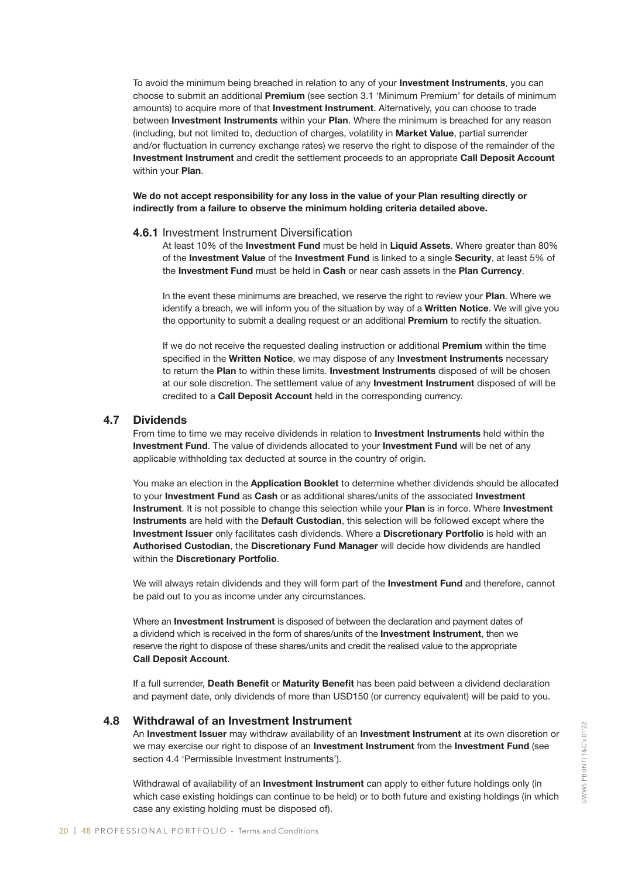To avoid the minimum being breached in relation to any of your Investment Instruments, you can choose to submit an additional Premium (see section 3.1 'Minimum Premium' for details of minimum amounts) to acquire more of that **Investment Instrument**. Alternatively, you can choose to trade between Investment Instruments within your Plan. Where the minimum is breached for any reason (including, but not limited to, deduction of charges, volatility in Market Value, partial surrender and/or fluctuation in currency exchange rates) we reserve the right to dispose of the remainder of the Investment Instrument and credit the settlement proceeds to an appropriate Call Deposit Account within your **Plan.** 

We do not accept responsibility for any loss in the value of your Plan resulting directly or indirectly from a failure to observe the minimum holding criteria detailed above.

#### 4.6.1 Investment Instrument Diversification

At least 10% of the Investment Fund must be held in Liquid Assets. Where greater than 80% of the Investment Value of the Investment Fund is linked to a single Security, at least 5% of the Investment Fund must be held in Cash or near cash assets in the Plan Currency.

In the event these minimums are breached, we reserve the right to review your Plan. Where we identify a breach, we will inform you of the situation by way of a Written Notice. We will give you the opportunity to submit a dealing request or an additional Premium to rectify the situation.

If we do not receive the requested dealing instruction or additional **Premium** within the time specified in the Written Notice, we may dispose of any Investment Instruments necessary to return the Plan to within these limits. Investment Instruments disposed of will be chosen at our sole discretion. The settlement value of any **Investment Instrument** disposed of will be credited to a Call Deposit Account held in the corresponding currency.

#### 4.7 Dividends

From time to time we may receive dividends in relation to **Investment Instruments** held within the Investment Fund. The value of dividends allocated to your Investment Fund will be net of any applicable withholding tax deducted at source in the country of origin.

You make an election in the Application Booklet to determine whether dividends should be allocated to your Investment Fund as Cash or as additional shares/units of the associated Investment Instrument. It is not possible to change this selection while your Plan is in force. Where Investment Instruments are held with the Default Custodian, this selection will be followed except where the Investment Issuer only facilitates cash dividends. Where a Discretionary Portfolio is held with an Authorised Custodian, the Discretionary Fund Manager will decide how dividends are handled within the **Discretionary Portfolio.** 

We will always retain dividends and they will form part of the Investment Fund and therefore, cannot be paid out to you as income under any circumstances.

Where an **Investment Instrument** is disposed of between the declaration and payment dates of a dividend which is received in the form of shares/units of the Investment Instrument, then we reserve the right to dispose of these shares/units and credit the realised value to the appropriate Call Deposit Account.

If a full surrender, Death Benefit or Maturity Benefit has been paid between a dividend declaration and payment date, only dividends of more than USD150 (or currency equivalent) will be paid to you.

#### 4.8 Withdrawal of an Investment Instrument

An Investment Issuer may withdraw availability of an Investment Instrument at its own discretion or we may exercise our right to dispose of an Investment Instrument from the Investment Fund (see section 4.4 'Permissible Investment Instruments').

Withdrawal of availability of an **Investment Instrument** can apply to either future holdings only (in which case existing holdings can continue to be held) or to both future and existing holdings (in which case any existing holding must be disposed of).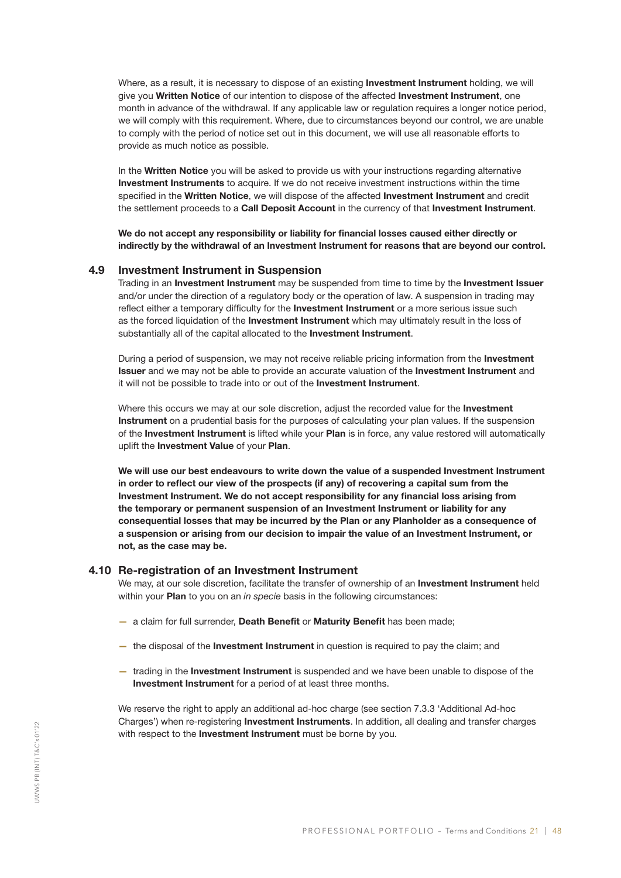Where, as a result, it is necessary to dispose of an existing Investment Instrument holding, we will give you Written Notice of our intention to dispose of the affected Investment Instrument, one month in advance of the withdrawal. If any applicable law or regulation requires a longer notice period, we will comply with this requirement. Where, due to circumstances beyond our control, we are unable to comply with the period of notice set out in this document, we will use all reasonable efforts to provide as much notice as possible.

In the Written Notice you will be asked to provide us with your instructions regarding alternative Investment Instruments to acquire. If we do not receive investment instructions within the time specified in the Written Notice, we will dispose of the affected Investment Instrument and credit the settlement proceeds to a Call Deposit Account in the currency of that Investment Instrument.

We do not accept any responsibility or liability for financial losses caused either directly or indirectly by the withdrawal of an Investment Instrument for reasons that are beyond our control.

#### 4.9 Investment Instrument in Suspension

Trading in an **Investment Instrument** may be suspended from time to time by the **Investment Issuer** and/or under the direction of a regulatory body or the operation of law. A suspension in trading may reflect either a temporary difficulty for the Investment Instrument or a more serious issue such as the forced liquidation of the **Investment Instrument** which may ultimately result in the loss of substantially all of the capital allocated to the **Investment Instrument**.

During a period of suspension, we may not receive reliable pricing information from the Investment Issuer and we may not be able to provide an accurate valuation of the Investment Instrument and it will not be possible to trade into or out of the **Investment Instrument**.

Where this occurs we may at our sole discretion, adjust the recorded value for the Investment Instrument on a prudential basis for the purposes of calculating your plan values. If the suspension of the Investment Instrument is lifted while your Plan is in force, any value restored will automatically uplift the Investment Value of your Plan.

We will use our best endeavours to write down the value of a suspended Investment Instrument in order to reflect our view of the prospects (if any) of recovering a capital sum from the Investment Instrument. We do not accept responsibility for any financial loss arising from the temporary or permanent suspension of an Investment Instrument or liability for any consequential losses that may be incurred by the Plan or any Planholder as a consequence of a suspension or arising from our decision to impair the value of an Investment Instrument, or not, as the case may be.

#### 4.10 Re-registration of an Investment Instrument

We may, at our sole discretion, facilitate the transfer of ownership of an Investment Instrument held within your Plan to you on an *in specie* basis in the following circumstances:

- a claim for full surrender, Death Benefit or Maturity Benefit has been made;
- the disposal of the Investment Instrument in question is required to pay the claim; and
- trading in the Investment Instrument is suspended and we have been unable to dispose of the Investment Instrument for a period of at least three months.

We reserve the right to apply an additional ad-hoc charge (see section 7.3.3 'Additional Ad-hoc Charges') when re-registering Investment Instruments. In addition, all dealing and transfer charges with respect to the Investment Instrument must be borne by you.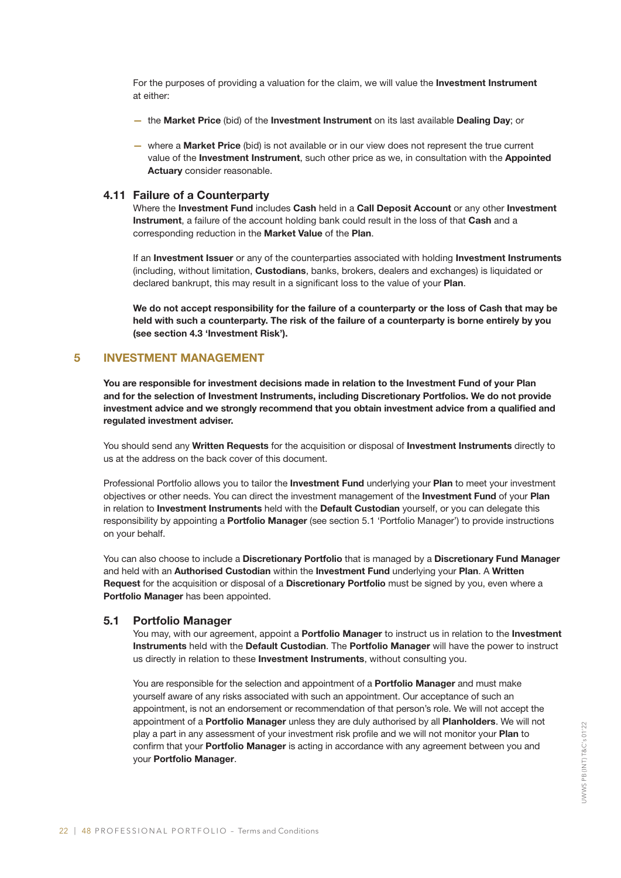For the purposes of providing a valuation for the claim, we will value the Investment Instrument at either:

- the Market Price (bid) of the Investment Instrument on its last available Dealing Day; or
- where a Market Price (bid) is not available or in our view does not represent the true current value of the Investment Instrument, such other price as we, in consultation with the Appointed Actuary consider reasonable.

#### 4.11 Failure of a Counterparty

Where the Investment Fund includes Cash held in a Call Deposit Account or any other Investment Instrument, a failure of the account holding bank could result in the loss of that Cash and a corresponding reduction in the Market Value of the Plan.

If an Investment Issuer or any of the counterparties associated with holding Investment Instruments (including, without limitation, Custodians, banks, brokers, dealers and exchanges) is liquidated or declared bankrupt, this may result in a significant loss to the value of your Plan.

We do not accept responsibility for the failure of a counterparty or the loss of Cash that may be held with such a counterparty. The risk of the failure of a counterparty is borne entirely by you (see section 4.3 'Investment Risk').

#### 5 INVESTMENT MANAGEMENT

You are responsible for investment decisions made in relation to the Investment Fund of your Plan and for the selection of Investment Instruments, including Discretionary Portfolios. We do not provide investment advice and we strongly recommend that you obtain investment advice from a qualified and regulated investment adviser.

You should send any Written Requests for the acquisition or disposal of Investment Instruments directly to us at the address on the back cover of this document.

Professional Portfolio allows you to tailor the Investment Fund underlying your Plan to meet your investment objectives or other needs. You can direct the investment management of the Investment Fund of your Plan in relation to Investment Instruments held with the Default Custodian yourself, or you can delegate this responsibility by appointing a **Portfolio Manager** (see section 5.1 'Portfolio Manager') to provide instructions on your behalf.

You can also choose to include a Discretionary Portfolio that is managed by a Discretionary Fund Manager and held with an Authorised Custodian within the Investment Fund underlying your Plan. A Written Request for the acquisition or disposal of a Discretionary Portfolio must be signed by you, even where a Portfolio Manager has been appointed.

#### 5.1 Portfolio Manager

You may, with our agreement, appoint a **Portfolio Manager** to instruct us in relation to the Investment Instruments held with the Default Custodian. The Portfolio Manager will have the power to instruct us directly in relation to these **Investment Instruments**, without consulting you.

You are responsible for the selection and appointment of a **Portfolio Manager** and must make yourself aware of any risks associated with such an appointment. Our acceptance of such an appointment, is not an endorsement or recommendation of that person's role. We will not accept the appointment of a Portfolio Manager unless they are duly authorised by all Planholders. We will not play a part in any assessment of your investment risk profile and we will not monitor your Plan to confirm that your **Portfolio Manager** is acting in accordance with any agreement between you and your Portfolio Manager.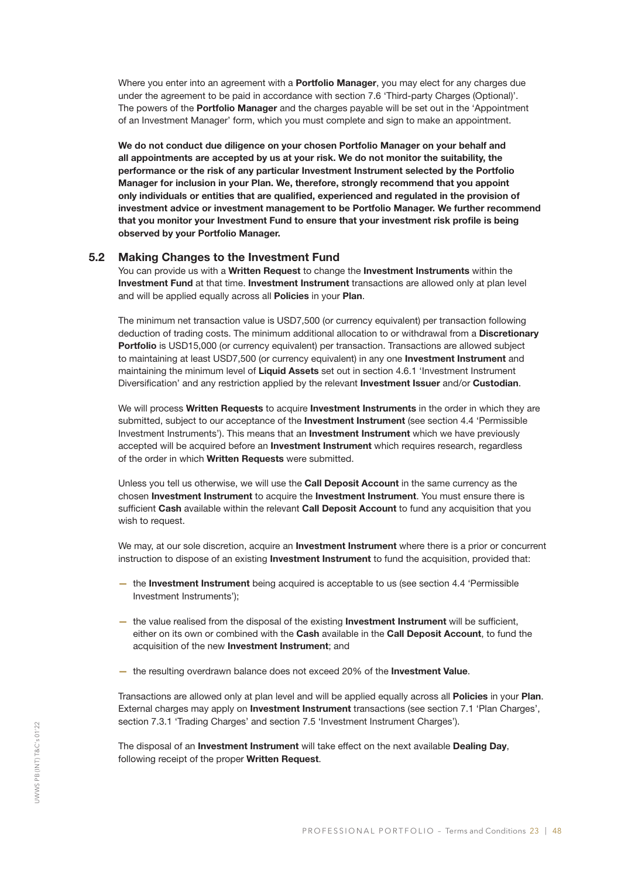Where you enter into an agreement with a **Portfolio Manager**, you may elect for any charges due under the agreement to be paid in accordance with section 7.6 'Third-party Charges (Optional)'. The powers of the **Portfolio Manager** and the charges payable will be set out in the 'Appointment' of an Investment Manager' form, which you must complete and sign to make an appointment.

We do not conduct due diligence on your chosen Portfolio Manager on your behalf and all appointments are accepted by us at your risk. We do not monitor the suitability, the performance or the risk of any particular Investment Instrument selected by the Portfolio Manager for inclusion in your Plan. We, therefore, strongly recommend that you appoint only individuals or entities that are qualified, experienced and regulated in the provision of investment advice or investment management to be Portfolio Manager. We further recommend that you monitor your Investment Fund to ensure that your investment risk profile is being observed by your Portfolio Manager.

#### 5.2 Making Changes to the Investment Fund

You can provide us with a Written Request to change the Investment Instruments within the Investment Fund at that time. Investment Instrument transactions are allowed only at plan level and will be applied equally across all **Policies** in your **Plan**.

The minimum net transaction value is USD7,500 (or currency equivalent) per transaction following deduction of trading costs. The minimum additional allocation to or withdrawal from a Discretionary Portfolio is USD15,000 (or currency equivalent) per transaction. Transactions are allowed subject to maintaining at least USD7,500 (or currency equivalent) in any one Investment Instrument and maintaining the minimum level of Liquid Assets set out in section 4.6.1 'Investment Instrument Diversification' and any restriction applied by the relevant **Investment Issuer** and/or **Custodian**.

We will process Written Requests to acquire Investment Instruments in the order in which they are submitted, subject to our acceptance of the **Investment Instrument** (see section 4.4 'Permissible Investment Instruments'). This means that an **Investment Instrument** which we have previously accepted will be acquired before an Investment Instrument which requires research, regardless of the order in which Written Requests were submitted.

Unless you tell us otherwise, we will use the Call Deposit Account in the same currency as the chosen Investment Instrument to acquire the Investment Instrument. You must ensure there is sufficient Cash available within the relevant Call Deposit Account to fund any acquisition that you wish to request.

We may, at our sole discretion, acquire an **Investment Instrument** where there is a prior or concurrent instruction to dispose of an existing **Investment Instrument** to fund the acquisition, provided that:

- the Investment Instrument being acquired is acceptable to us (see section 4.4 'Permissible Investment Instruments');
- the value realised from the disposal of the existing Investment Instrument will be sufficient, either on its own or combined with the Cash available in the Call Deposit Account, to fund the acquisition of the new Investment Instrument; and
- the resulting overdrawn balance does not exceed 20% of the Investment Value.

Transactions are allowed only at plan level and will be applied equally across all **Policies** in your **Plan**. External charges may apply on Investment Instrument transactions (see section 7.1 'Plan Charges', section 7.3.1 'Trading Charges' and section 7.5 'Investment Instrument Charges').

The disposal of an Investment Instrument will take effect on the next available Dealing Day, following receipt of the proper Written Request.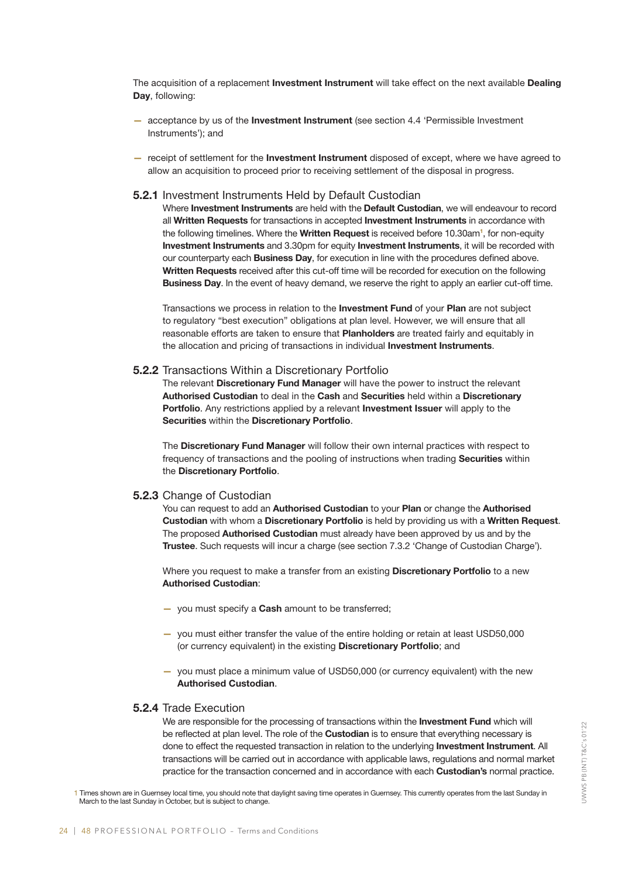The acquisition of a replacement Investment Instrument will take effect on the next available Dealing Day, following:

- acceptance by us of the Investment Instrument (see section 4.4 'Permissible Investment Instruments'); and
- receipt of settlement for the **Investment Instrument** disposed of except, where we have agreed to allow an acquisition to proceed prior to receiving settlement of the disposal in progress.

#### 5.2.1 Investment Instruments Held by Default Custodian

Where **Investment Instruments** are held with the **Default Custodian**, we will endeavour to record all Written Requests for transactions in accepted Investment Instruments in accordance with the following timelines. Where the Written Request is received before 10.30am<sup>1</sup>, for non-equity Investment Instruments and 3.30pm for equity Investment Instruments, it will be recorded with our counterparty each **Business Day**, for execution in line with the procedures defined above. Written Requests received after this cut-off time will be recorded for execution on the following Business Day. In the event of heavy demand, we reserve the right to apply an earlier cut-off time.

Transactions we process in relation to the **Investment Fund** of your Plan are not subject to regulatory "best execution" obligations at plan level. However, we will ensure that all reasonable efforts are taken to ensure that Planholders are treated fairly and equitably in the allocation and pricing of transactions in individual Investment Instruments.

#### 5.2.2 Transactions Within a Discretionary Portfolio

The relevant Discretionary Fund Manager will have the power to instruct the relevant Authorised Custodian to deal in the Cash and Securities held within a Discretionary Portfolio. Any restrictions applied by a relevant Investment Issuer will apply to the Securities within the Discretionary Portfolio.

The Discretionary Fund Manager will follow their own internal practices with respect to frequency of transactions and the pooling of instructions when trading Securities within the Discretionary Portfolio.

#### 5.2.3 Change of Custodian

You can request to add an Authorised Custodian to your Plan or change the Authorised Custodian with whom a Discretionary Portfolio is held by providing us with a Written Request. The proposed **Authorised Custodian** must already have been approved by us and by the Trustee. Such requests will incur a charge (see section 7.3.2 'Change of Custodian Charge').

Where you request to make a transfer from an existing **Discretionary Portfolio** to a new Authorised Custodian:

- you must specify a **Cash** amount to be transferred;
- you must either transfer the value of the entire holding or retain at least USD50,000 (or currency equivalent) in the existing Discretionary Portfolio; and
- you must place a minimum value of USD50,000 (or currency equivalent) with the new Authorised Custodian.

#### 5.2.4 Trade Execution

We are responsible for the processing of transactions within the Investment Fund which will be reflected at plan level. The role of the Custodian is to ensure that everything necessary is done to effect the requested transaction in relation to the underlying Investment Instrument. All transactions will be carried out in accordance with applicable laws, regulations and normal market practice for the transaction concerned and in accordance with each Custodian's normal practice.

1 Times shown are in Guernsey local time, you should note that daylight saving time operates in Guernsey. This currently operates from the last Sunday in March to the last Sunday in October, but is subject to change.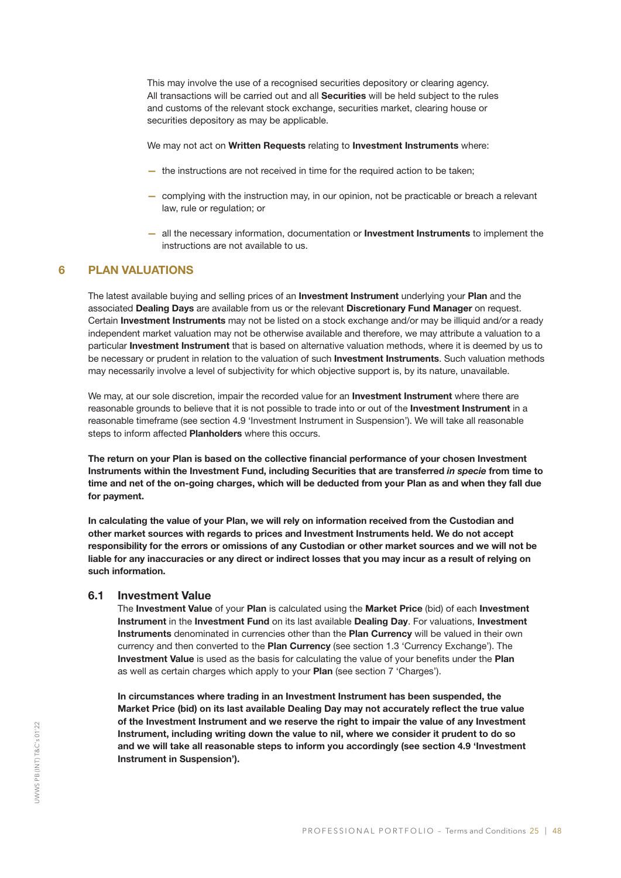This may involve the use of a recognised securities depository or clearing agency. All transactions will be carried out and all Securities will be held subject to the rules and customs of the relevant stock exchange, securities market, clearing house or securities depository as may be applicable.

We may not act on Written Requests relating to Investment Instruments where:

- the instructions are not received in time for the required action to be taken;
- complying with the instruction may, in our opinion, not be practicable or breach a relevant law, rule or regulation; or
- all the necessary information, documentation or Investment Instruments to implement the instructions are not available to us.

#### 6 PLAN VALUATIONS

The latest available buying and selling prices of an **Investment Instrument** underlying your Plan and the associated Dealing Days are available from us or the relevant Discretionary Fund Manager on request. Certain Investment Instruments may not be listed on a stock exchange and/or may be illiquid and/or a ready independent market valuation may not be otherwise available and therefore, we may attribute a valuation to a particular Investment Instrument that is based on alternative valuation methods, where it is deemed by us to be necessary or prudent in relation to the valuation of such Investment Instruments. Such valuation methods may necessarily involve a level of subjectivity for which objective support is, by its nature, unavailable.

We may, at our sole discretion, impair the recorded value for an **Investment Instrument** where there are reasonable grounds to believe that it is not possible to trade into or out of the Investment Instrument in a reasonable timeframe (see section 4.9 'Investment Instrument in Suspension'). We will take all reasonable steps to inform affected Planholders where this occurs.

The return on your Plan is based on the collective financial performance of your chosen Investment Instruments within the Investment Fund, including Securities that are transferred *in specie* from time to time and net of the on-going charges, which will be deducted from your Plan as and when they fall due for payment.

In calculating the value of your Plan, we will rely on information received from the Custodian and other market sources with regards to prices and Investment Instruments held. We do not accept responsibility for the errors or omissions of any Custodian or other market sources and we will not be liable for any inaccuracies or any direct or indirect losses that you may incur as a result of relying on such information.

#### 6.1 Investment Value

The Investment Value of your Plan is calculated using the Market Price (bid) of each Investment Instrument in the Investment Fund on its last available Dealing Day. For valuations, Investment Instruments denominated in currencies other than the Plan Currency will be valued in their own currency and then converted to the Plan Currency (see section 1.3 'Currency Exchange'). The Investment Value is used as the basis for calculating the value of your benefits under the Plan as well as certain charges which apply to your Plan (see section 7 'Charges').

In circumstances where trading in an Investment Instrument has been suspended, the Market Price (bid) on its last available Dealing Day may not accurately reflect the true value of the Investment Instrument and we reserve the right to impair the value of any Investment Instrument, including writing down the value to nil, where we consider it prudent to do so and we will take all reasonable steps to inform you accordingly (see section 4.9 'Investment Instrument in Suspension').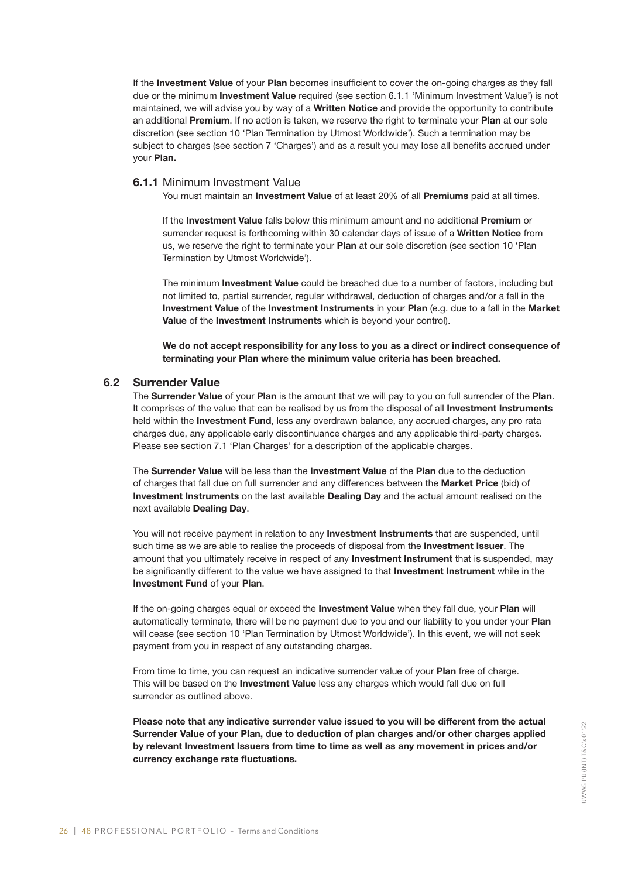If the Investment Value of your Plan becomes insufficient to cover the on-going charges as they fall due or the minimum Investment Value required (see section 6.1.1 'Minimum Investment Value') is not maintained, we will advise you by way of a Written Notice and provide the opportunity to contribute an additional Premium. If no action is taken, we reserve the right to terminate your Plan at our sole discretion (see section 10 'Plan Termination by Utmost Worldwide'). Such a termination may be subject to charges (see section 7 'Charges') and as a result you may lose all benefits accrued under your Plan.

#### 6.1.1 Minimum Investment Value

You must maintain an **Investment Value** of at least 20% of all **Premiums** paid at all times.

If the Investment Value falls below this minimum amount and no additional Premium or surrender request is forthcoming within 30 calendar days of issue of a Written Notice from us, we reserve the right to terminate your Plan at our sole discretion (see section 10 'Plan Termination by Utmost Worldwide').

The minimum Investment Value could be breached due to a number of factors, including but not limited to, partial surrender, regular withdrawal, deduction of charges and/or a fall in the Investment Value of the Investment Instruments in your Plan (e.g. due to a fall in the Market Value of the Investment Instruments which is beyond your control).

We do not accept responsibility for any loss to you as a direct or indirect consequence of terminating your Plan where the minimum value criteria has been breached.

#### 6.2 Surrender Value

The Surrender Value of your Plan is the amount that we will pay to you on full surrender of the Plan. It comprises of the value that can be realised by us from the disposal of all Investment Instruments held within the **Investment Fund**, less any overdrawn balance, any accrued charges, any pro rata charges due, any applicable early discontinuance charges and any applicable third-party charges. Please see section 7.1 'Plan Charges' for a description of the applicable charges.

The Surrender Value will be less than the Investment Value of the Plan due to the deduction of charges that fall due on full surrender and any differences between the Market Price (bid) of Investment Instruments on the last available Dealing Day and the actual amount realised on the next available Dealing Day.

You will not receive payment in relation to any **Investment Instruments** that are suspended, until such time as we are able to realise the proceeds of disposal from the **Investment Issuer**. The amount that you ultimately receive in respect of any **Investment Instrument** that is suspended, may be significantly different to the value we have assigned to that Investment Instrument while in the Investment Fund of your Plan.

If the on-going charges equal or exceed the Investment Value when they fall due, your Plan will automatically terminate, there will be no payment due to you and our liability to you under your Plan will cease (see section 10 'Plan Termination by Utmost Worldwide'). In this event, we will not seek payment from you in respect of any outstanding charges.

From time to time, you can request an indicative surrender value of your Plan free of charge. This will be based on the **Investment Value** less any charges which would fall due on full surrender as outlined above.

Please note that any indicative surrender value issued to you will be different from the actual Surrender Value of your Plan, due to deduction of plan charges and/or other charges applied by relevant Investment Issuers from time to time as well as any movement in prices and/or currency exchange rate fluctuations.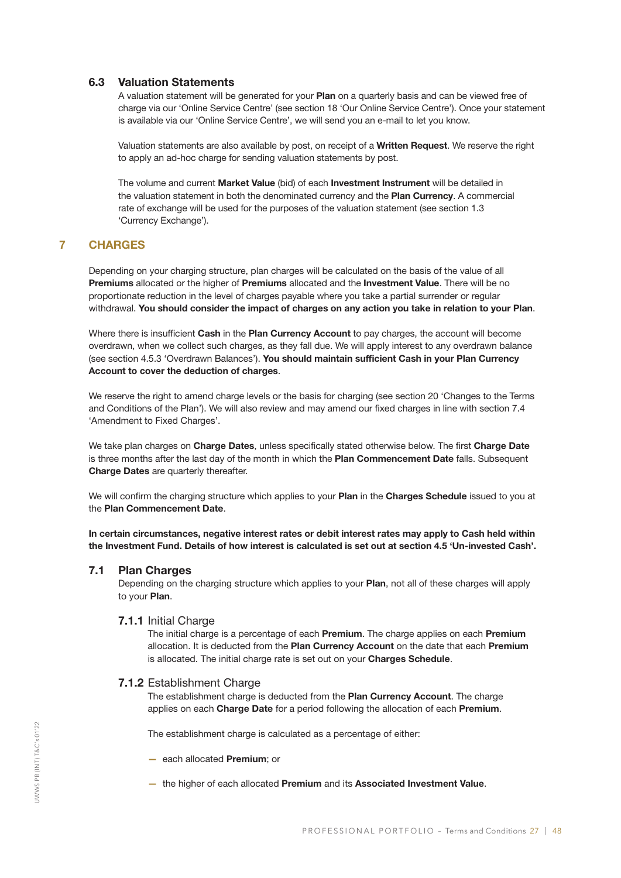#### 6.3 Valuation Statements

A valuation statement will be generated for your Plan on a quarterly basis and can be viewed free of charge via our 'Online Service Centre' (see section 18 'Our Online Service Centre'). Once your statement is available via our 'Online Service Centre', we will send you an e-mail to let you know.

Valuation statements are also available by post, on receipt of a Written Request. We reserve the right to apply an ad-hoc charge for sending valuation statements by post.

The volume and current Market Value (bid) of each Investment Instrument will be detailed in the valuation statement in both the denominated currency and the Plan Currency. A commercial rate of exchange will be used for the purposes of the valuation statement (see section 1.3 'Currency Exchange').

#### 7 CHARGES

Depending on your charging structure, plan charges will be calculated on the basis of the value of all Premiums allocated or the higher of Premiums allocated and the Investment Value. There will be no proportionate reduction in the level of charges payable where you take a partial surrender or regular withdrawal. You should consider the impact of charges on any action you take in relation to your Plan.

Where there is insufficient Cash in the Plan Currency Account to pay charges, the account will become overdrawn, when we collect such charges, as they fall due. We will apply interest to any overdrawn balance (see section 4.5.3 'Overdrawn Balances'). You should maintain sufficient Cash in your Plan Currency Account to cover the deduction of charges.

We reserve the right to amend charge levels or the basis for charging (see section 20 'Changes to the Terms and Conditions of the Plan'). We will also review and may amend our fixed charges in line with section 7.4 'Amendment to Fixed Charges'.

We take plan charges on Charge Dates, unless specifically stated otherwise below. The first Charge Date is three months after the last day of the month in which the Plan Commencement Date falls. Subsequent Charge Dates are quarterly thereafter.

We will confirm the charging structure which applies to your Plan in the Charges Schedule issued to you at the Plan Commencement Date.

In certain circumstances, negative interest rates or debit interest rates may apply to Cash held within the Investment Fund. Details of how interest is calculated is set out at section 4.5 'Un-invested Cash'.

#### 7.1 Plan Charges

Depending on the charging structure which applies to your Plan, not all of these charges will apply to your Plan.

#### 7.1.1 Initial Charge

The initial charge is a percentage of each **Premium**. The charge applies on each **Premium** allocation. It is deducted from the Plan Currency Account on the date that each Premium is allocated. The initial charge rate is set out on your Charges Schedule.

#### 7.1.2 Establishment Charge

The establishment charge is deducted from the Plan Currency Account. The charge applies on each Charge Date for a period following the allocation of each Premium.

The establishment charge is calculated as a percentage of either:

- each allocated Premium; or
- the higher of each allocated Premium and its Associated Investment Value.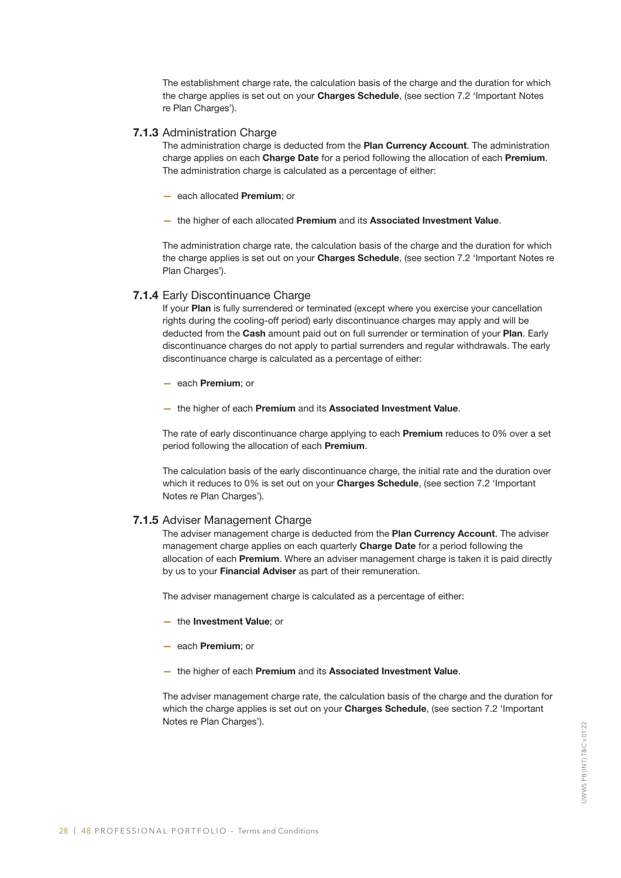The establishment charge rate, the calculation basis of the charge and the duration for which the charge applies is set out on your Charges Schedule, (see section 7.2 'Important Notes re Plan Charges').

#### 7.1.3 Administration Charge

The administration charge is deducted from the Plan Currency Account. The administration charge applies on each Charge Date for a period following the allocation of each Premium. The administration charge is calculated as a percentage of either:

- each allocated Premium; or
- the higher of each allocated Premium and its Associated Investment Value.

The administration charge rate, the calculation basis of the charge and the duration for which the charge applies is set out on your Charges Schedule, (see section 7.2 'Important Notes re Plan Charges').

#### 7.1.4 Early Discontinuance Charge

If your Plan is fully surrendered or terminated (except where you exercise your cancellation rights during the cooling-off period) early discontinuance charges may apply and will be deducted from the Cash amount paid out on full surrender or termination of your Plan. Early discontinuance charges do not apply to partial surrenders and regular withdrawals. The early discontinuance charge is calculated as a percentage of either:

- each Premium; or
- the higher of each Premium and its Associated Investment Value.

The rate of early discontinuance charge applying to each Premium reduces to 0% over a set period following the allocation of each Premium.

The calculation basis of the early discontinuance charge, the initial rate and the duration over which it reduces to 0% is set out on your Charges Schedule, (see section 7.2 'Important Notes re Plan Charges').

#### 7.1.5 Adviser Management Charge

The adviser management charge is deducted from the Plan Currency Account. The adviser management charge applies on each quarterly Charge Date for a period following the allocation of each **Premium**. Where an adviser management charge is taken it is paid directly by us to your Financial Adviser as part of their remuneration.

The adviser management charge is calculated as a percentage of either:

- the Investment Value; or
- each Premium; or
- the higher of each Premium and its Associated Investment Value.

The adviser management charge rate, the calculation basis of the charge and the duration for which the charge applies is set out on your Charges Schedule, (see section 7.2 'Important Notes re Plan Charges').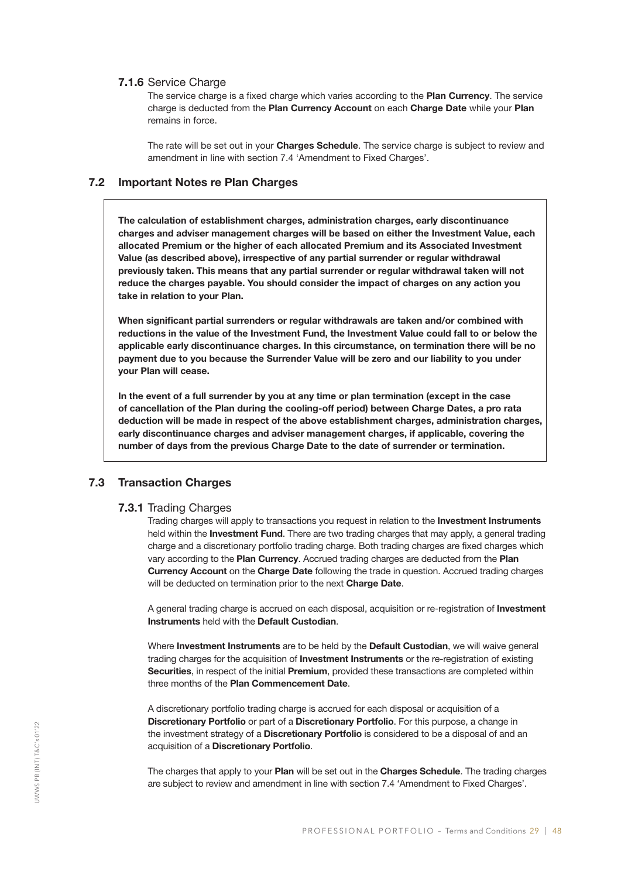#### 7.1.6 Service Charge

The service charge is a fixed charge which varies according to the Plan Currency. The service charge is deducted from the Plan Currency Account on each Charge Date while your Plan remains in force.

The rate will be set out in your Charges Schedule. The service charge is subject to review and amendment in line with section 7.4 'Amendment to Fixed Charges'.

#### 7.2 Important Notes re Plan Charges

The calculation of establishment charges, administration charges, early discontinuance charges and adviser management charges will be based on either the Investment Value, each allocated Premium or the higher of each allocated Premium and its Associated Investment Value (as described above), irrespective of any partial surrender or regular withdrawal previously taken. This means that any partial surrender or regular withdrawal taken will not reduce the charges payable. You should consider the impact of charges on any action you take in relation to your Plan.

When significant partial surrenders or regular withdrawals are taken and/or combined with reductions in the value of the Investment Fund, the Investment Value could fall to or below the applicable early discontinuance charges. In this circumstance, on termination there will be no payment due to you because the Surrender Value will be zero and our liability to you under your Plan will cease.

In the event of a full surrender by you at any time or plan termination (except in the case of cancellation of the Plan during the cooling-off period) between Charge Dates, a pro rata deduction will be made in respect of the above establishment charges, administration charges, early discontinuance charges and adviser management charges, if applicable, covering the number of days from the previous Charge Date to the date of surrender or termination.

#### 7.3 Transaction Charges

#### 7.3.1 Trading Charges

Trading charges will apply to transactions you request in relation to the **Investment Instruments** held within the **Investment Fund**. There are two trading charges that may apply, a general trading charge and a discretionary portfolio trading charge. Both trading charges are fixed charges which vary according to the Plan Currency. Accrued trading charges are deducted from the Plan Currency Account on the Charge Date following the trade in question. Accrued trading charges will be deducted on termination prior to the next Charge Date.

A general trading charge is accrued on each disposal, acquisition or re-registration of Investment Instruments held with the Default Custodian.

Where Investment Instruments are to be held by the Default Custodian, we will waive general trading charges for the acquisition of Investment Instruments or the re-registration of existing Securities. in respect of the initial Premium, provided these transactions are completed within three months of the Plan Commencement Date.

A discretionary portfolio trading charge is accrued for each disposal or acquisition of a Discretionary Portfolio or part of a Discretionary Portfolio. For this purpose, a change in the investment strategy of a Discretionary Portfolio is considered to be a disposal of and an acquisition of a Discretionary Portfolio.

The charges that apply to your Plan will be set out in the Charges Schedule. The trading charges are subject to review and amendment in line with section 7.4 'Amendment to Fixed Charges'.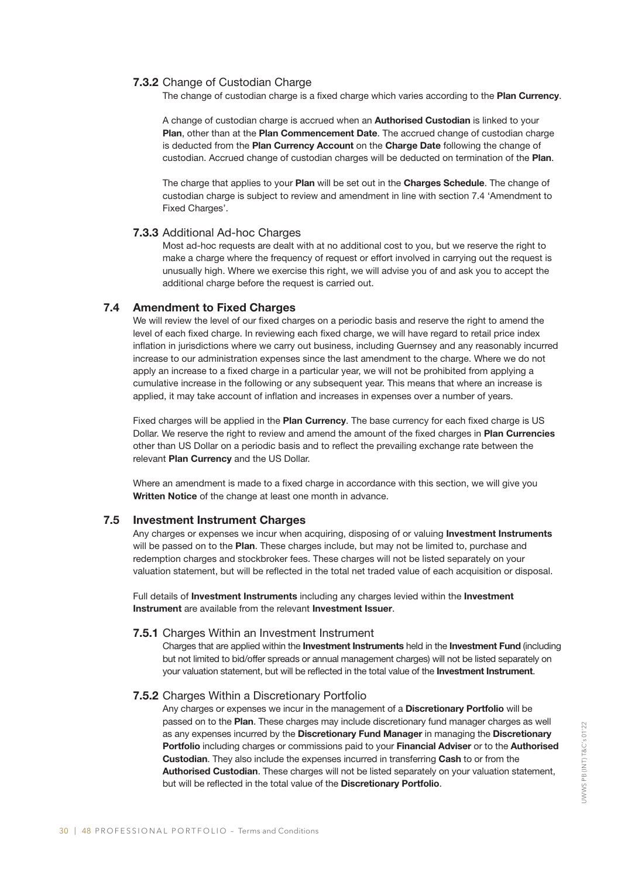#### 7.3.2 Change of Custodian Charge

The change of custodian charge is a fixed charge which varies according to the Plan Currency.

A change of custodian charge is accrued when an Authorised Custodian is linked to your Plan, other than at the Plan Commencement Date. The accrued change of custodian charge is deducted from the Plan Currency Account on the Charge Date following the change of custodian. Accrued change of custodian charges will be deducted on termination of the Plan.

The charge that applies to your Plan will be set out in the Charges Schedule. The change of custodian charge is subject to review and amendment in line with section 7.4 'Amendment to Fixed Charges'.

#### 7.3.3 Additional Ad-hoc Charges

Most ad-hoc requests are dealt with at no additional cost to you, but we reserve the right to make a charge where the frequency of request or effort involved in carrying out the request is unusually high. Where we exercise this right, we will advise you of and ask you to accept the additional charge before the request is carried out.

#### 7.4 Amendment to Fixed Charges

We will review the level of our fixed charges on a periodic basis and reserve the right to amend the level of each fixed charge. In reviewing each fixed charge, we will have regard to retail price index inflation in jurisdictions where we carry out business, including Guernsey and any reasonably incurred increase to our administration expenses since the last amendment to the charge. Where we do not apply an increase to a fixed charge in a particular year, we will not be prohibited from applying a cumulative increase in the following or any subsequent year. This means that where an increase is applied, it may take account of inflation and increases in expenses over a number of years.

Fixed charges will be applied in the **Plan Currency**. The base currency for each fixed charge is US Dollar. We reserve the right to review and amend the amount of the fixed charges in **Plan Currencies** other than US Dollar on a periodic basis and to reflect the prevailing exchange rate between the relevant Plan Currency and the US Dollar.

Where an amendment is made to a fixed charge in accordance with this section, we will give you Written Notice of the change at least one month in advance.

#### 7.5 Investment Instrument Charges

Any charges or expenses we incur when acquiring, disposing of or valuing Investment Instruments will be passed on to the Plan. These charges include, but may not be limited to, purchase and redemption charges and stockbroker fees. These charges will not be listed separately on your valuation statement, but will be reflected in the total net traded value of each acquisition or disposal.

Full details of Investment Instruments including any charges levied within the Investment Instrument are available from the relevant Investment Issuer.

#### 7.5.1 Charges Within an Investment Instrument

Charges that are applied within the Investment Instruments held in the Investment Fund (including but not limited to bid/offer spreads or annual management charges) will not be listed separately on your valuation statement, but will be reflected in the total value of the Investment Instrument.

#### 7.5.2 Charges Within a Discretionary Portfolio

Any charges or expenses we incur in the management of a **Discretionary Portfolio** will be passed on to the Plan. These charges may include discretionary fund manager charges as well as any expenses incurred by the Discretionary Fund Manager in managing the Discretionary Portfolio including charges or commissions paid to your Financial Adviser or to the Authorised Custodian. They also include the expenses incurred in transferring Cash to or from the Authorised Custodian. These charges will not be listed separately on your valuation statement, but will be reflected in the total value of the Discretionary Portfolio.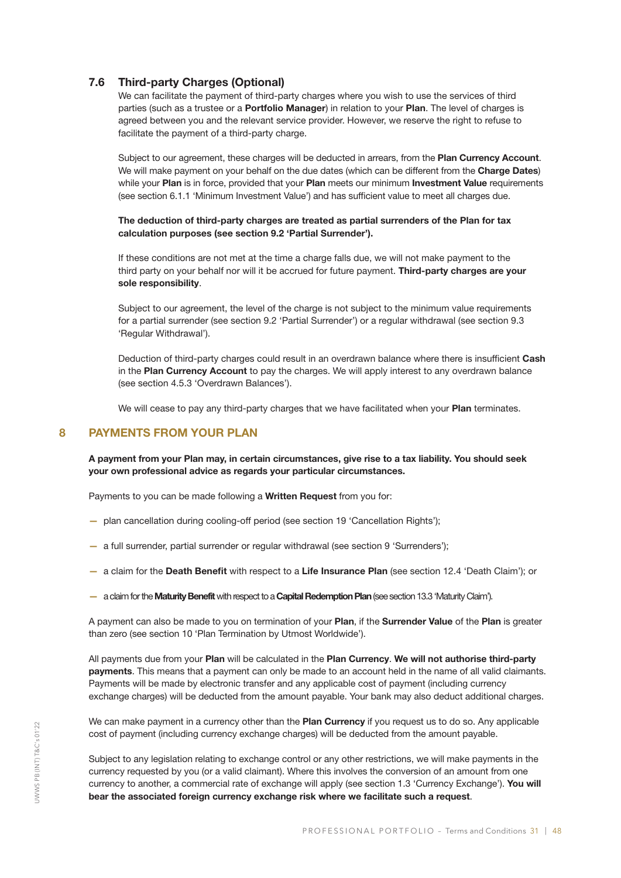#### 7.6 Third-party Charges (Optional)

We can facilitate the payment of third-party charges where you wish to use the services of third parties (such as a trustee or a **Portfolio Manager**) in relation to your **Plan**. The level of charges is agreed between you and the relevant service provider. However, we reserve the right to refuse to facilitate the payment of a third-party charge.

Subject to our agreement, these charges will be deducted in arrears, from the Plan Currency Account. We will make payment on your behalf on the due dates (which can be different from the Charge Dates) while your Plan is in force, provided that your Plan meets our minimum Investment Value requirements (see section 6.1.1 'Minimum Investment Value') and has sufficient value to meet all charges due.

#### The deduction of third-party charges are treated as partial surrenders of the Plan for tax calculation purposes (see section 9.2 'Partial Surrender').

If these conditions are not met at the time a charge falls due, we will not make payment to the third party on your behalf nor will it be accrued for future payment. Third-party charges are your sole responsibility.

Subject to our agreement, the level of the charge is not subject to the minimum value requirements for a partial surrender (see section 9.2 'Partial Surrender') or a regular withdrawal (see section 9.3 'Regular Withdrawal').

Deduction of third-party charges could result in an overdrawn balance where there is insufficient Cash in the Plan Currency Account to pay the charges. We will apply interest to any overdrawn balance (see section 4.5.3 'Overdrawn Balances').

We will cease to pay any third-party charges that we have facilitated when your Plan terminates.

#### 8 PAYMENTS FROM YOUR PLAN

A payment from your Plan may, in certain circumstances, give rise to a tax liability. You should seek your own professional advice as regards your particular circumstances.

Payments to you can be made following a Written Request from you for:

- plan cancellation during cooling-off period (see section 19 'Cancellation Rights');
- a full surrender, partial surrender or regular withdrawal (see section 9 'Surrenders');
- a claim for the Death Benefit with respect to a Life Insurance Plan (see section 12.4 'Death Claim'); or
- a claim for the Maturity Benefit with respect to a Capital Redemption Plan (see section 13.3 'Maturity Claim').

A payment can also be made to you on termination of your Plan, if the Surrender Value of the Plan is greater than zero (see section 10 'Plan Termination by Utmost Worldwide').

All payments due from your Plan will be calculated in the Plan Currency. We will not authorise third-party payments. This means that a payment can only be made to an account held in the name of all valid claimants. Payments will be made by electronic transfer and any applicable cost of payment (including currency exchange charges) will be deducted from the amount payable. Your bank may also deduct additional charges.

We can make payment in a currency other than the Plan Currency if you request us to do so. Any applicable cost of payment (including currency exchange charges) will be deducted from the amount payable.

Subject to any legislation relating to exchange control or any other restrictions, we will make payments in the currency requested by you (or a valid claimant). Where this involves the conversion of an amount from one currency to another, a commercial rate of exchange will apply (see section 1.3 'Currency Exchange'). You will bear the associated foreign currency exchange risk where we facilitate such a request.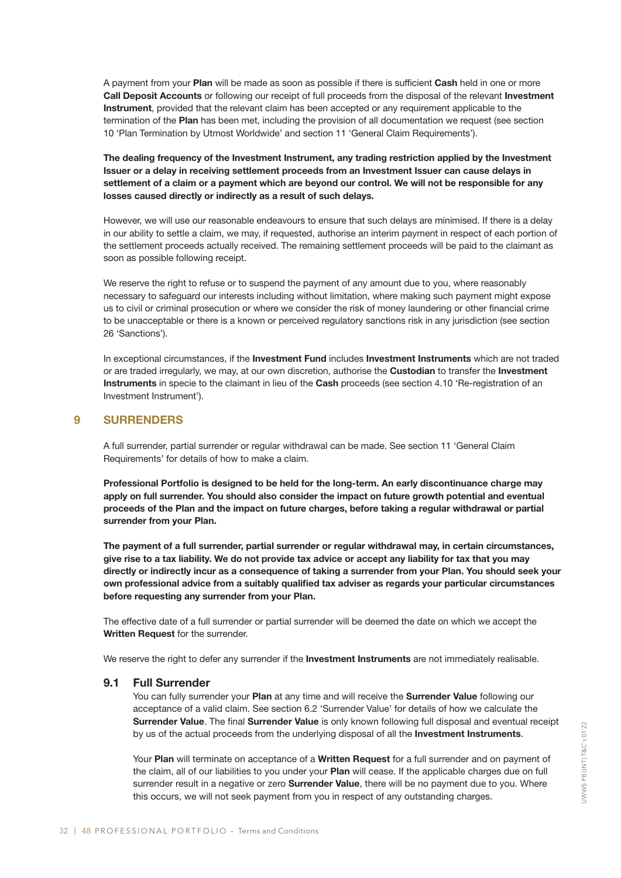A payment from your Plan will be made as soon as possible if there is sufficient Cash held in one or more Call Deposit Accounts or following our receipt of full proceeds from the disposal of the relevant Investment Instrument, provided that the relevant claim has been accepted or any requirement applicable to the termination of the Plan has been met, including the provision of all documentation we request (see section 10 'Plan Termination by Utmost Worldwide' and section 11 'General Claim Requirements').

The dealing frequency of the Investment Instrument, any trading restriction applied by the Investment Issuer or a delay in receiving settlement proceeds from an Investment Issuer can cause delays in settlement of a claim or a payment which are beyond our control. We will not be responsible for any losses caused directly or indirectly as a result of such delays.

However, we will use our reasonable endeavours to ensure that such delays are minimised. If there is a delay in our ability to settle a claim, we may, if requested, authorise an interim payment in respect of each portion of the settlement proceeds actually received. The remaining settlement proceeds will be paid to the claimant as soon as possible following receipt.

We reserve the right to refuse or to suspend the payment of any amount due to you, where reasonably necessary to safeguard our interests including without limitation, where making such payment might expose us to civil or criminal prosecution or where we consider the risk of money laundering or other financial crime to be unacceptable or there is a known or perceived regulatory sanctions risk in any jurisdiction (see section 26 'Sanctions').

In exceptional circumstances, if the Investment Fund includes Investment Instruments which are not traded or are traded irregularly, we may, at our own discretion, authorise the Custodian to transfer the Investment Instruments in specie to the claimant in lieu of the Cash proceeds (see section 4.10 'Re-registration of an Investment Instrument').

#### 9 SURRENDERS

A full surrender, partial surrender or regular withdrawal can be made. See section 11 'General Claim Requirements' for details of how to make a claim.

Professional Portfolio is designed to be held for the long-term. An early discontinuance charge may apply on full surrender. You should also consider the impact on future growth potential and eventual proceeds of the Plan and the impact on future charges, before taking a regular withdrawal or partial surrender from your Plan.

The payment of a full surrender, partial surrender or regular withdrawal may, in certain circumstances, give rise to a tax liability. We do not provide tax advice or accept any liability for tax that you may directly or indirectly incur as a consequence of taking a surrender from your Plan. You should seek your own professional advice from a suitably qualified tax adviser as regards your particular circumstances before requesting any surrender from your Plan.

The effective date of a full surrender or partial surrender will be deemed the date on which we accept the Written Request for the surrender.

We reserve the right to defer any surrender if the **Investment Instruments** are not immediately realisable.

#### 9.1 Full Surrender

You can fully surrender your Plan at any time and will receive the Surrender Value following our acceptance of a valid claim. See section 6.2 'Surrender Value' for details of how we calculate the Surrender Value. The final Surrender Value is only known following full disposal and eventual receipt by us of the actual proceeds from the underlying disposal of all the Investment Instruments.

Your Plan will terminate on acceptance of a Written Request for a full surrender and on payment of the claim, all of our liabilities to you under your Plan will cease. If the applicable charges due on full surrender result in a negative or zero **Surrender Value**, there will be no payment due to you. Where this occurs, we will not seek payment from you in respect of any outstanding charges.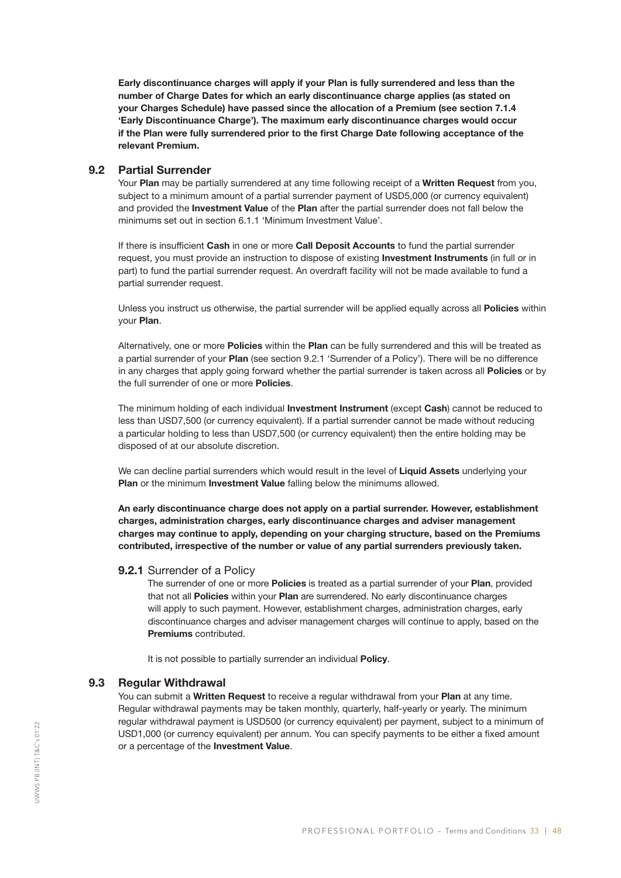Early discontinuance charges will apply if your Plan is fully surrendered and less than the number of Charge Dates for which an early discontinuance charge applies (as stated on your Charges Schedule) have passed since the allocation of a Premium (see section 7.1.4 'Early Discontinuance Charge'). The maximum early discontinuance charges would occur if the Plan were fully surrendered prior to the first Charge Date following acceptance of the relevant Premium.

#### 9.2 Partial Surrender

Your Plan may be partially surrendered at any time following receipt of a Written Request from you, subject to a minimum amount of a partial surrender payment of USD5,000 (or currency equivalent) and provided the **Investment Value** of the Plan after the partial surrender does not fall below the minimums set out in section 6.1.1 'Minimum Investment Value'.

If there is insufficient Cash in one or more Call Deposit Accounts to fund the partial surrender request, you must provide an instruction to dispose of existing **Investment Instruments** (in full or in part) to fund the partial surrender request. An overdraft facility will not be made available to fund a partial surrender request.

Unless you instruct us otherwise, the partial surrender will be applied equally across all Policies within your Plan.

Alternatively, one or more **Policies** within the Plan can be fully surrendered and this will be treated as a partial surrender of your Plan (see section 9.2.1 'Surrender of a Policy'). There will be no difference in any charges that apply going forward whether the partial surrender is taken across all Policies or by the full surrender of one or more **Policies**.

The minimum holding of each individual Investment Instrument (except Cash) cannot be reduced to less than USD7,500 (or currency equivalent). If a partial surrender cannot be made without reducing a particular holding to less than USD7,500 (or currency equivalent) then the entire holding may be disposed of at our absolute discretion.

We can decline partial surrenders which would result in the level of Liquid Assets underlying your Plan or the minimum Investment Value falling below the minimums allowed.

An early discontinuance charge does not apply on a partial surrender. However, establishment charges, administration charges, early discontinuance charges and adviser management charges may continue to apply, depending on your charging structure, based on the Premiums contributed, irrespective of the number or value of any partial surrenders previously taken.

#### 9.2.1 Surrender of a Policy

The surrender of one or more Policies is treated as a partial surrender of your Plan, provided that not all Policies within your Plan are surrendered. No early discontinuance charges will apply to such payment. However, establishment charges, administration charges, early discontinuance charges and adviser management charges will continue to apply, based on the Premiums contributed.

It is not possible to partially surrender an individual **Policy**.

#### 9.3 Regular Withdrawal

You can submit a Written Request to receive a regular withdrawal from your Plan at any time. Regular withdrawal payments may be taken monthly, quarterly, half-yearly or yearly. The minimum regular withdrawal payment is USD500 (or currency equivalent) per payment, subject to a minimum of USD1,000 (or currency equivalent) per annum. You can specify payments to be either a fixed amount or a percentage of the Investment Value.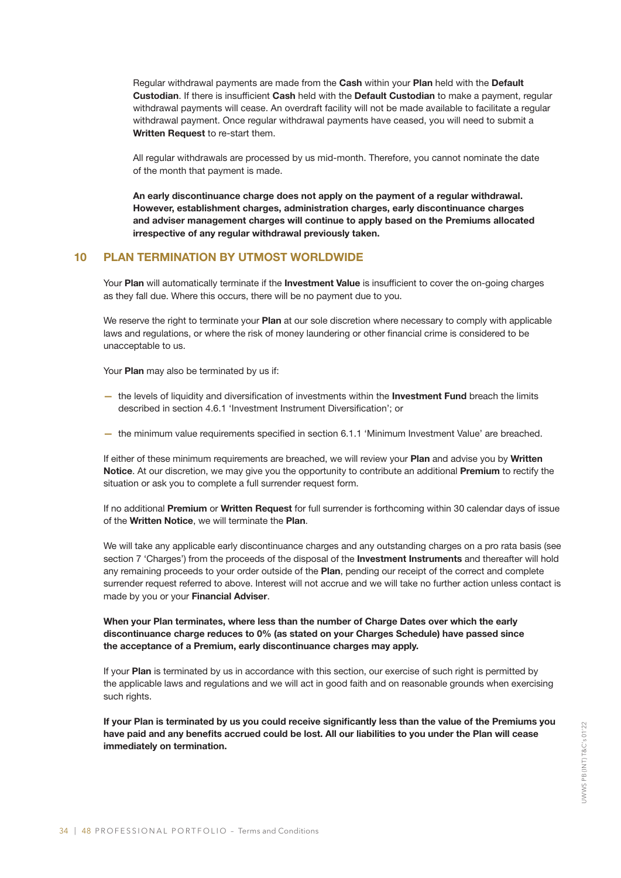Regular withdrawal payments are made from the Cash within your Plan held with the Default Custodian. If there is insufficient Cash held with the Default Custodian to make a payment, regular withdrawal payments will cease. An overdraft facility will not be made available to facilitate a regular withdrawal payment. Once regular withdrawal payments have ceased, you will need to submit a Written Request to re-start them.

All regular withdrawals are processed by us mid-month. Therefore, you cannot nominate the date of the month that payment is made.

An early discontinuance charge does not apply on the payment of a regular withdrawal. However, establishment charges, administration charges, early discontinuance charges and adviser management charges will continue to apply based on the Premiums allocated irrespective of any regular withdrawal previously taken.

#### 10 PLAN TERMINATION BY UTMOST WORLDWIDE

Your Plan will automatically terminate if the Investment Value is insufficient to cover the on-going charges as they fall due. Where this occurs, there will be no payment due to you.

We reserve the right to terminate your Plan at our sole discretion where necessary to comply with applicable laws and regulations, or where the risk of money laundering or other financial crime is considered to be unacceptable to us.

Your Plan may also be terminated by us if:

- the levels of liquidity and diversification of investments within the Investment Fund breach the limits described in section 4.6.1 'Investment Instrument Diversification'; or
- the minimum value requirements specified in section 6.1.1 'Minimum Investment Value' are breached.

If either of these minimum requirements are breached, we will review your Plan and advise you by Written Notice. At our discretion, we may give you the opportunity to contribute an additional Premium to rectify the situation or ask you to complete a full surrender request form.

If no additional Premium or Written Request for full surrender is forthcoming within 30 calendar days of issue of the Written Notice, we will terminate the Plan.

We will take any applicable early discontinuance charges and any outstanding charges on a pro rata basis (see section 7 'Charges') from the proceeds of the disposal of the Investment Instruments and thereafter will hold any remaining proceeds to your order outside of the Plan, pending our receipt of the correct and complete surrender request referred to above. Interest will not accrue and we will take no further action unless contact is made by you or your Financial Adviser.

#### When your Plan terminates, where less than the number of Charge Dates over which the early discontinuance charge reduces to 0% (as stated on your Charges Schedule) have passed since the acceptance of a Premium, early discontinuance charges may apply.

If your Plan is terminated by us in accordance with this section, our exercise of such right is permitted by the applicable laws and regulations and we will act in good faith and on reasonable grounds when exercising such rights.

If your Plan is terminated by us you could receive significantly less than the value of the Premiums you have paid and any benefits accrued could be lost. All our liabilities to you under the Plan will cease immediately on termination.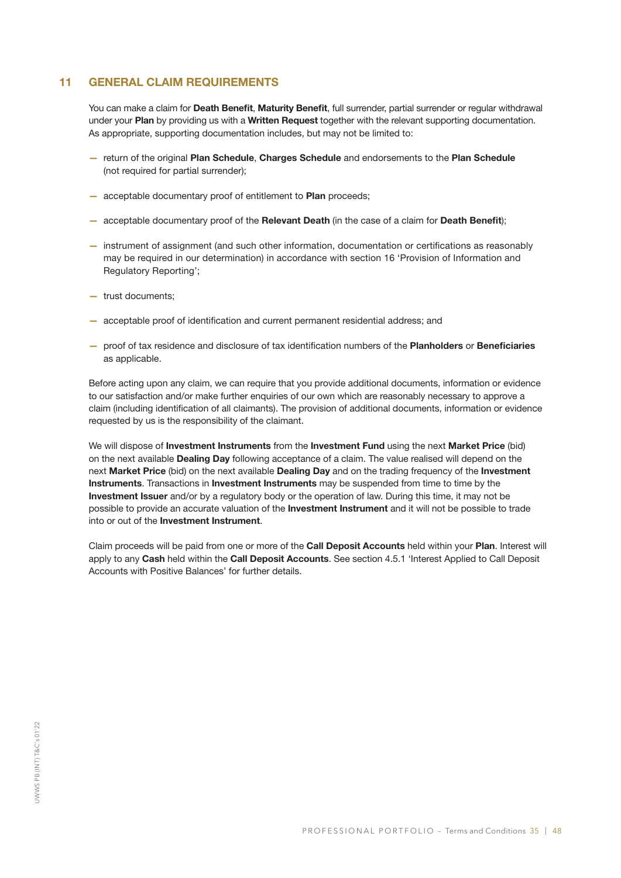#### 11 GENERAL CLAIM REQUIREMENTS

You can make a claim for Death Benefit, Maturity Benefit, full surrender, partial surrender or regular withdrawal under your Plan by providing us with a Written Request together with the relevant supporting documentation. As appropriate, supporting documentation includes, but may not be limited to:

- return of the original Plan Schedule, Charges Schedule and endorsements to the Plan Schedule (not required for partial surrender);
- acceptable documentary proof of entitlement to Plan proceeds;
- acceptable documentary proof of the Relevant Death (in the case of a claim for Death Benefit);
- instrument of assignment (and such other information, documentation or certifications as reasonably may be required in our determination) in accordance with section 16 'Provision of Information and Regulatory Reporting';
- trust documents;
- acceptable proof of identification and current permanent residential address; and
- proof of tax residence and disclosure of tax identification numbers of the Planholders or Beneficiaries as applicable.

Before acting upon any claim, we can require that you provide additional documents, information or evidence to our satisfaction and/or make further enquiries of our own which are reasonably necessary to approve a claim (including identification of all claimants). The provision of additional documents, information or evidence requested by us is the responsibility of the claimant.

We will dispose of Investment Instruments from the Investment Fund using the next Market Price (bid) on the next available Dealing Day following acceptance of a claim. The value realised will depend on the next Market Price (bid) on the next available Dealing Day and on the trading frequency of the Investment Instruments. Transactions in Investment Instruments may be suspended from time to time by the Investment Issuer and/or by a regulatory body or the operation of law. During this time, it may not be possible to provide an accurate valuation of the Investment Instrument and it will not be possible to trade into or out of the Investment Instrument.

Claim proceeds will be paid from one or more of the **Call Deposit Accounts** held within your Plan. Interest will apply to any Cash held within the Call Deposit Accounts. See section 4.5.1 'Interest Applied to Call Deposit Accounts with Positive Balances' for further details.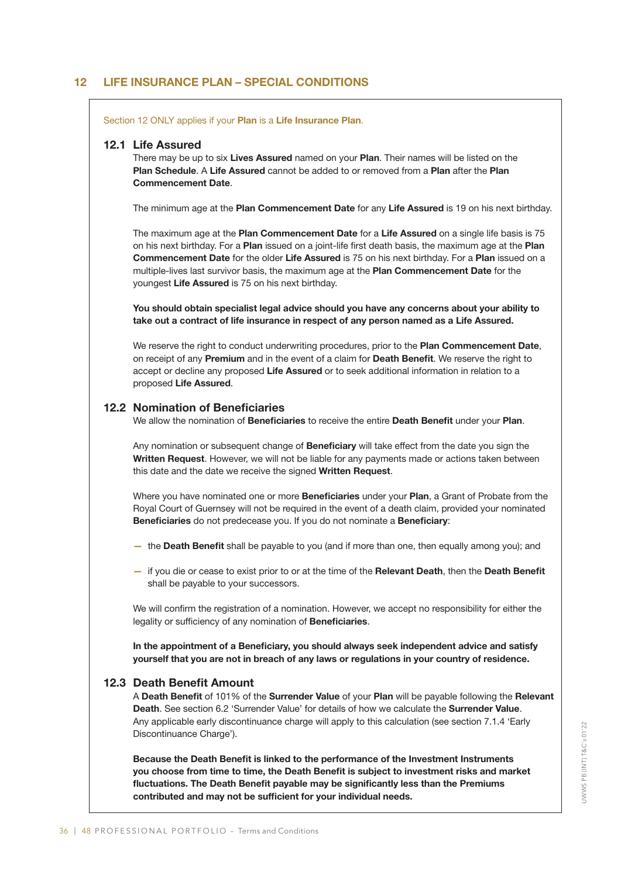#### 12 LIFE INSURANCE PLAN – SPECIAL CONDITIONS

Section 12 ONLY applies if your Plan is a Life Insurance Plan.

#### 12.1 Life Assured

There may be up to six **Lives Assured** named on your **Plan**. Their names will be listed on the Plan Schedule. A Life Assured cannot be added to or removed from a Plan after the Plan Commencement Date.

The minimum age at the Plan Commencement Date for any Life Assured is 19 on his next birthday.

The maximum age at the Plan Commencement Date for a Life Assured on a single life basis is 75 on his next birthday. For a Plan issued on a joint-life first death basis, the maximum age at the Plan Commencement Date for the older Life Assured is 75 on his next birthday. For a Plan issued on a multiple-lives last survivor basis, the maximum age at the Plan Commencement Date for the youngest Life Assured is 75 on his next birthday.

You should obtain specialist legal advice should you have any concerns about your ability to take out a contract of life insurance in respect of any person named as a Life Assured.

We reserve the right to conduct underwriting procedures, prior to the Plan Commencement Date, on receipt of any Premium and in the event of a claim for Death Benefit. We reserve the right to accept or decline any proposed Life Assured or to seek additional information in relation to a proposed Life Assured.

#### 12.2 Nomination of Beneficiaries

We allow the nomination of Beneficiaries to receive the entire Death Benefit under your Plan.

Any nomination or subsequent change of Beneficiary will take effect from the date you sign the Written Request. However, we will not be liable for any payments made or actions taken between this date and the date we receive the signed Written Request.

Where you have nominated one or more Beneficiaries under your Plan, a Grant of Probate from the Royal Court of Guernsey will not be required in the event of a death claim, provided your nominated Beneficiaries do not predecease you. If you do not nominate a Beneficiary:

- the Death Benefit shall be payable to you (and if more than one, then equally among you); and
- if you die or cease to exist prior to or at the time of the Relevant Death, then the Death Benefit shall be payable to your successors.

We will confirm the registration of a nomination. However, we accept no responsibility for either the legality or sufficiency of any nomination of Beneficiaries.

In the appointment of a Beneficiary, you should always seek independent advice and satisfy yourself that you are not in breach of any laws or regulations in your country of residence.

#### 12.3 Death Benefit Amount

A Death Benefit of 101% of the Surrender Value of your Plan will be payable following the Relevant Death. See section 6.2 'Surrender Value' for details of how we calculate the Surrender Value. Any applicable early discontinuance charge will apply to this calculation (see section 7.1.4 'Early Discontinuance Charge').

Because the Death Benefit is linked to the performance of the Investment Instruments you choose from time to time, the Death Benefit is subject to investment risks and market fluctuations. The Death Benefit payable may be significantly less than the Premiums contributed and may not be sufficient for your individual needs.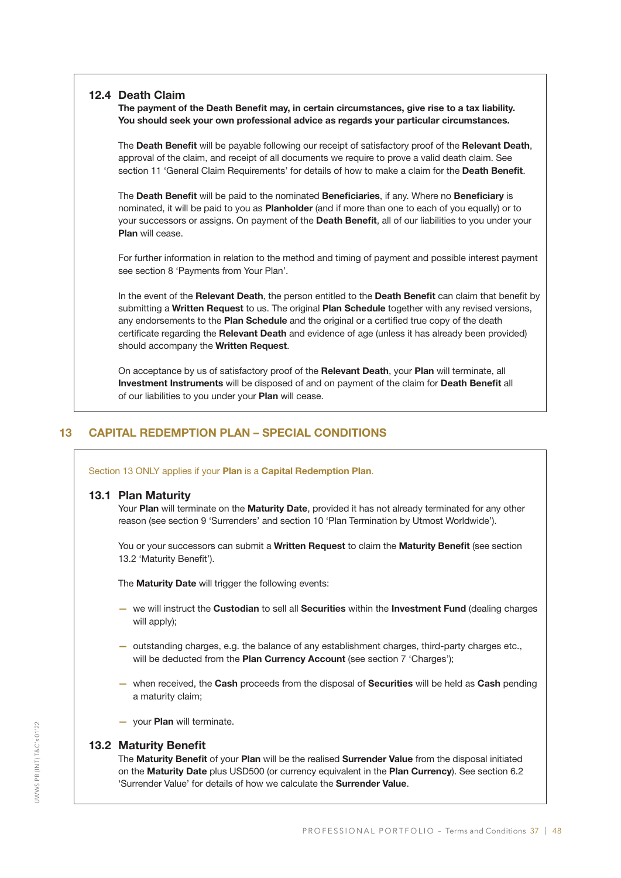#### 12.4 Death Claim

The payment of the Death Benefit may, in certain circumstances, give rise to a tax liability. You should seek your own professional advice as regards your particular circumstances.

The Death Benefit will be payable following our receipt of satisfactory proof of the Relevant Death, approval of the claim, and receipt of all documents we require to prove a valid death claim. See section 11 'General Claim Requirements' for details of how to make a claim for the Death Benefit.

The Death Benefit will be paid to the nominated Beneficiaries, if any. Where no Beneficiary is nominated, it will be paid to you as **Planholder** (and if more than one to each of you equally) or to your successors or assigns. On payment of the Death Benefit, all of our liabilities to you under your Plan will cease.

For further information in relation to the method and timing of payment and possible interest payment see section 8 'Payments from Your Plan'.

In the event of the Relevant Death, the person entitled to the Death Benefit can claim that benefit by submitting a Written Request to us. The original Plan Schedule together with any revised versions, any endorsements to the Plan Schedule and the original or a certified true copy of the death certificate regarding the Relevant Death and evidence of age (unless it has already been provided) should accompany the Written Request.

On acceptance by us of satisfactory proof of the Relevant Death, your Plan will terminate, all Investment Instruments will be disposed of and on payment of the claim for Death Benefit all of our liabilities to you under your Plan will cease.

#### 13 CAPITAL REDEMPTION PLAN – SPECIAL CONDITIONS

Section 13 ONLY applies if your Plan is a Capital Redemption Plan.

#### 13.1 Plan Maturity

Your Plan will terminate on the Maturity Date, provided it has not already terminated for any other reason (see section 9 'Surrenders' and section 10 'Plan Termination by Utmost Worldwide').

You or your successors can submit a Written Request to claim the Maturity Benefit (see section 13.2 'Maturity Benefit').

The **Maturity Date** will trigger the following events:

- we will instruct the Custodian to sell all Securities within the Investment Fund (dealing charges will apply);
- outstanding charges, e.g. the balance of any establishment charges, third-party charges etc., will be deducted from the Plan Currency Account (see section 7 'Charges');
- when received, the Cash proceeds from the disposal of Securities will be held as Cash pending a maturity claim;
- your Plan will terminate.

#### 13.2 Maturity Benefit

The Maturity Benefit of your Plan will be the realised Surrender Value from the disposal initiated on the Maturity Date plus USD500 (or currency equivalent in the Plan Currency). See section 6.2 'Surrender Value' for details of how we calculate the Surrender Value.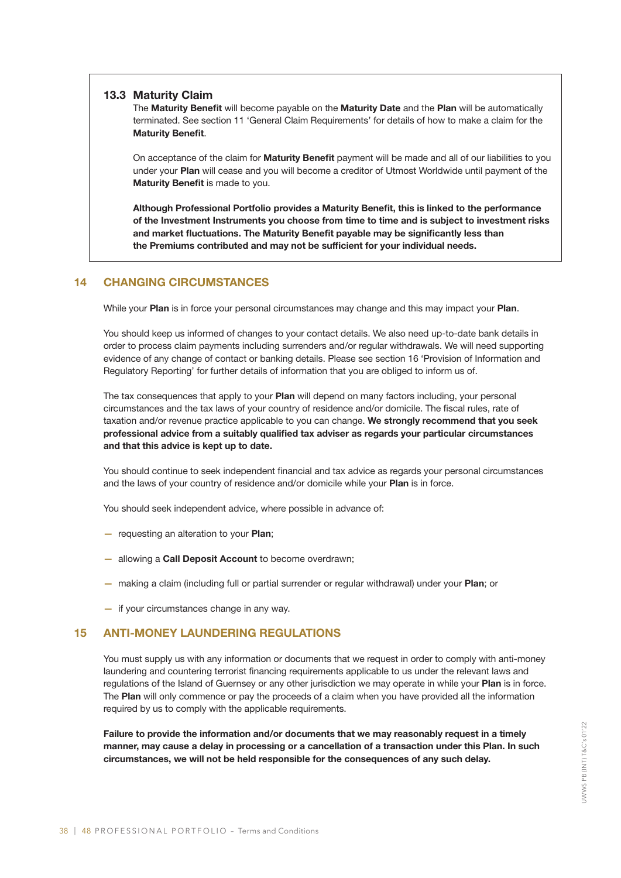#### 13.3 Maturity Claim

The Maturity Benefit will become payable on the Maturity Date and the Plan will be automatically terminated. See section 11 'General Claim Requirements' for details of how to make a claim for the Maturity Benefit.

On acceptance of the claim for **Maturity Benefit** payment will be made and all of our liabilities to you under your Plan will cease and you will become a creditor of Utmost Worldwide until payment of the Maturity Benefit is made to you.

Although Professional Portfolio provides a Maturity Benefit, this is linked to the performance of the Investment Instruments you choose from time to time and is subject to investment risks and market fluctuations. The Maturity Benefit payable may be significantly less than the Premiums contributed and may not be sufficient for your individual needs.

#### 14 CHANGING CIRCUMSTANCES

While your Plan is in force your personal circumstances may change and this may impact your Plan.

You should keep us informed of changes to your contact details. We also need up-to-date bank details in order to process claim payments including surrenders and/or regular withdrawals. We will need supporting evidence of any change of contact or banking details. Please see section 16 'Provision of Information and Regulatory Reporting' for further details of information that you are obliged to inform us of.

The tax consequences that apply to your Plan will depend on many factors including, your personal circumstances and the tax laws of your country of residence and/or domicile. The fiscal rules, rate of taxation and/or revenue practice applicable to you can change. We strongly recommend that you seek professional advice from a suitably qualified tax adviser as regards your particular circumstances and that this advice is kept up to date.

You should continue to seek independent financial and tax advice as regards your personal circumstances and the laws of your country of residence and/or domicile while your Plan is in force.

You should seek independent advice, where possible in advance of:

- requesting an alteration to your Plan;
- allowing a Call Deposit Account to become overdrawn;
- making a claim (including full or partial surrender or regular withdrawal) under your Plan; or
- if your circumstances change in any way.

#### 15 ANTI-MONEY LAUNDERING REGULATIONS

You must supply us with any information or documents that we request in order to comply with anti-money laundering and countering terrorist financing requirements applicable to us under the relevant laws and regulations of the Island of Guernsey or any other jurisdiction we may operate in while your Plan is in force. The Plan will only commence or pay the proceeds of a claim when you have provided all the information required by us to comply with the applicable requirements.

Failure to provide the information and/or documents that we may reasonably request in a timely manner, may cause a delay in processing or a cancellation of a transaction under this Plan. In such circumstances, we will not be held responsible for the consequences of any such delay.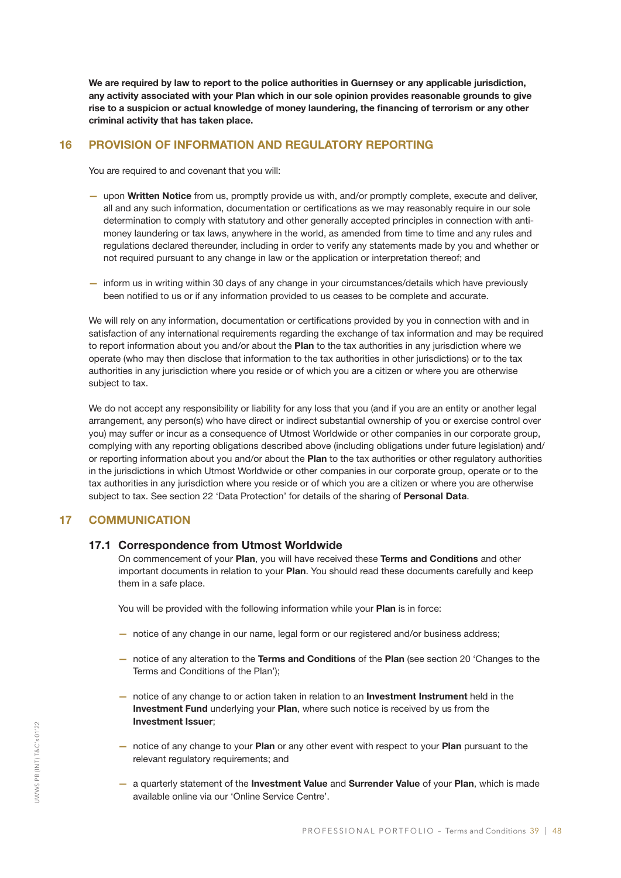We are required by law to report to the police authorities in Guernsey or any applicable jurisdiction, any activity associated with your Plan which in our sole opinion provides reasonable grounds to give rise to a suspicion or actual knowledge of money laundering, the financing of terrorism or any other criminal activity that has taken place.

#### 16 PROVISION OF INFORMATION AND REGULATORY REPORTING

You are required to and covenant that you will:

- upon Written Notice from us, promptly provide us with, and/or promptly complete, execute and deliver, all and any such information, documentation or certifications as we may reasonably require in our sole determination to comply with statutory and other generally accepted principles in connection with antimoney laundering or tax laws, anywhere in the world, as amended from time to time and any rules and regulations declared thereunder, including in order to verify any statements made by you and whether or not required pursuant to any change in law or the application or interpretation thereof; and
- inform us in writing within 30 days of any change in your circumstances/details which have previously been notified to us or if any information provided to us ceases to be complete and accurate.

We will rely on any information, documentation or certifications provided by you in connection with and in satisfaction of any international requirements regarding the exchange of tax information and may be required to report information about you and/or about the Plan to the tax authorities in any jurisdiction where we operate (who may then disclose that information to the tax authorities in other jurisdictions) or to the tax authorities in any jurisdiction where you reside or of which you are a citizen or where you are otherwise subject to tax.

We do not accept any responsibility or liability for any loss that you (and if you are an entity or another legal arrangement, any person(s) who have direct or indirect substantial ownership of you or exercise control over you) may suffer or incur as a consequence of Utmost Worldwide or other companies in our corporate group, complying with any reporting obligations described above (including obligations under future legislation) and/ or reporting information about you and/or about the Plan to the tax authorities or other regulatory authorities in the jurisdictions in which Utmost Worldwide or other companies in our corporate group, operate or to the tax authorities in any jurisdiction where you reside or of which you are a citizen or where you are otherwise subject to tax. See section 22 'Data Protection' for details of the sharing of Personal Data.

#### 17 COMMUNICATION

#### 17.1 Correspondence from Utmost Worldwide

On commencement of your Plan, you will have received these Terms and Conditions and other important documents in relation to your Plan. You should read these documents carefully and keep them in a safe place.

You will be provided with the following information while your **Plan** is in force:

- notice of any change in our name, legal form or our registered and/or business address;
- notice of any alteration to the Terms and Conditions of the Plan (see section 20 'Changes to the Terms and Conditions of the Plan');
- notice of any change to or action taken in relation to an Investment Instrument held in the Investment Fund underlying your Plan, where such notice is received by us from the Investment Issuer;
- notice of any change to your Plan or any other event with respect to your Plan pursuant to the relevant regulatory requirements; and
- a quarterly statement of the Investment Value and Surrender Value of your Plan, which is made available online via our 'Online Service Centre'.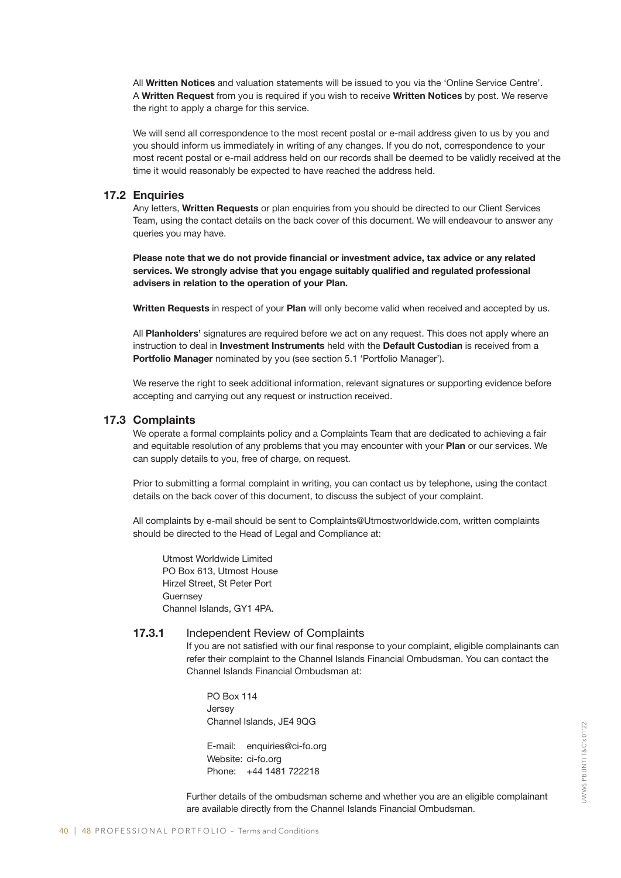All Written Notices and valuation statements will be issued to you via the 'Online Service Centre'. A Written Request from you is required if you wish to receive Written Notices by post. We reserve the right to apply a charge for this service.

We will send all correspondence to the most recent postal or e-mail address given to us by you and you should inform us immediately in writing of any changes. If you do not, correspondence to your most recent postal or e-mail address held on our records shall be deemed to be validly received at the time it would reasonably be expected to have reached the address held.

#### 17.2 Enquiries

Any letters, Written Requests or plan enquiries from you should be directed to our Client Services Team, using the contact details on the back cover of this document. We will endeavour to answer any queries you may have.

Please note that we do not provide financial or investment advice, tax advice or any related services. We strongly advise that you engage suitably qualified and regulated professional advisers in relation to the operation of your Plan.

Written Requests in respect of your Plan will only become valid when received and accepted by us.

All Planholders' signatures are required before we act on any request. This does not apply where an instruction to deal in Investment Instruments held with the Default Custodian is received from a Portfolio Manager nominated by you (see section 5.1 'Portfolio Manager').

We reserve the right to seek additional information, relevant signatures or supporting evidence before accepting and carrying out any request or instruction received.

#### 17.3 Complaints

We operate a formal complaints policy and a Complaints Team that are dedicated to achieving a fair and equitable resolution of any problems that you may encounter with your Plan or our services. We can supply details to you, free of charge, on request.

Prior to submitting a formal complaint in writing, you can contact us by telephone, using the contact details on the back cover of this document, to discuss the subject of your complaint.

All complaints by e-mail should be sent to Complaints@Utmostworldwide.com, written complaints should be directed to the Head of Legal and Compliance at:

Utmost Worldwide Limited PO Box 613, Utmost House Hirzel Street, St Peter Port **Guernsey** Channel Islands, GY1 4PA.

#### 17.3.1 Independent Review of Complaints

 If you are not satisfied with our final response to your complaint, eligible complainants can refer their complaint to the Channel Islands Financial Ombudsman. You can contact the Channel Islands Financial Ombudsman at:

PO Box 114 Jersey Channel Islands, JE4 9QG

E-mail: enquiries@ci-fo.org Website: ci-fo.org Phone: +44 1481 722218

 Further details of the ombudsman scheme and whether you are an eligible complainant are available directly from the Channel Islands Financial Ombudsman.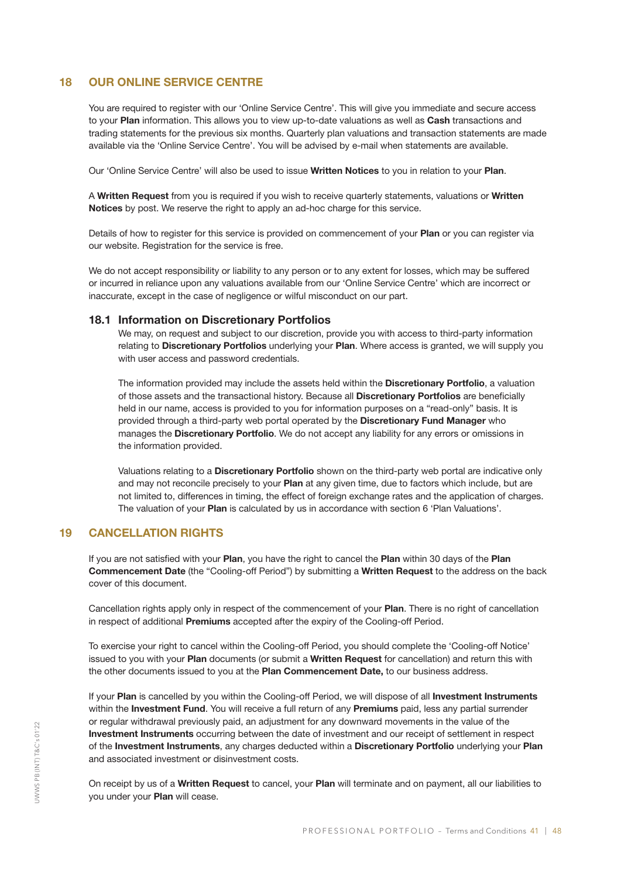#### 18 OUR ONLINE SERVICE CENTRE

You are required to register with our 'Online Service Centre'. This will give you immediate and secure access to your Plan information. This allows you to view up-to-date valuations as well as Cash transactions and trading statements for the previous six months. Quarterly plan valuations and transaction statements are made available via the 'Online Service Centre'. You will be advised by e-mail when statements are available.

Our 'Online Service Centre' will also be used to issue Written Notices to you in relation to your Plan.

A Written Request from you is required if you wish to receive quarterly statements, valuations or Written Notices by post. We reserve the right to apply an ad-hoc charge for this service.

Details of how to register for this service is provided on commencement of your Plan or you can register via our website. Registration for the service is free.

We do not accept responsibility or liability to any person or to any extent for losses, which may be suffered or incurred in reliance upon any valuations available from our 'Online Service Centre' which are incorrect or inaccurate, except in the case of negligence or wilful misconduct on our part.

#### 18.1 Information on Discretionary Portfolios

We may, on request and subject to our discretion, provide you with access to third-party information relating to Discretionary Portfolios underlying your Plan. Where access is granted, we will supply you with user access and password credentials.

The information provided may include the assets held within the **Discretionary Portfolio**, a valuation of those assets and the transactional history. Because all Discretionary Portfolios are beneficially held in our name, access is provided to you for information purposes on a "read-only" basis. It is provided through a third-party web portal operated by the Discretionary Fund Manager who manages the Discretionary Portfolio. We do not accept any liability for any errors or omissions in the information provided.

Valuations relating to a Discretionary Portfolio shown on the third-party web portal are indicative only and may not reconcile precisely to your Plan at any given time, due to factors which include, but are not limited to, differences in timing, the effect of foreign exchange rates and the application of charges. The valuation of your **Plan** is calculated by us in accordance with section 6 'Plan Valuations'.

#### 19 CANCELLATION RIGHTS

If you are not satisfied with your Plan, you have the right to cancel the Plan within 30 days of the Plan Commencement Date (the "Cooling-off Period") by submitting a Written Request to the address on the back cover of this document.

Cancellation rights apply only in respect of the commencement of your Plan. There is no right of cancellation in respect of additional Premiums accepted after the expiry of the Cooling-off Period.

To exercise your right to cancel within the Cooling-off Period, you should complete the 'Cooling-off Notice' issued to you with your Plan documents (or submit a Written Request for cancellation) and return this with the other documents issued to you at the Plan Commencement Date, to our business address.

If your Plan is cancelled by you within the Cooling-off Period, we will dispose of all Investment Instruments within the Investment Fund. You will receive a full return of any Premiums paid, less any partial surrender or regular withdrawal previously paid, an adjustment for any downward movements in the value of the Investment Instruments occurring between the date of investment and our receipt of settlement in respect of the Investment Instruments, any charges deducted within a Discretionary Portfolio underlying your Plan and associated investment or disinvestment costs.

On receipt by us of a Written Request to cancel, your Plan will terminate and on payment, all our liabilities to you under your Plan will cease.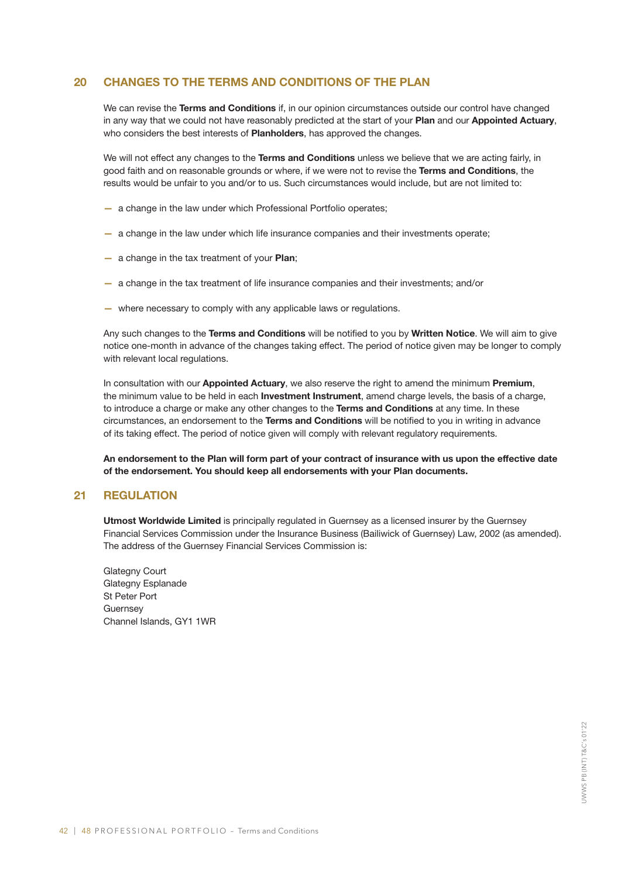#### 20 CHANGES TO THE TERMS AND CONDITIONS OF THE PLAN

We can revise the Terms and Conditions if, in our opinion circumstances outside our control have changed in any way that we could not have reasonably predicted at the start of your Plan and our Appointed Actuary, who considers the best interests of **Planholders**, has approved the changes.

We will not effect any changes to the Terms and Conditions unless we believe that we are acting fairly, in good faith and on reasonable grounds or where, if we were not to revise the Terms and Conditions, the results would be unfair to you and/or to us. Such circumstances would include, but are not limited to:

- a change in the law under which Professional Portfolio operates;
- a change in the law under which life insurance companies and their investments operate;
- a change in the tax treatment of your Plan;
- a change in the tax treatment of life insurance companies and their investments; and/or
- where necessary to comply with any applicable laws or regulations.

Any such changes to the Terms and Conditions will be notified to you by Written Notice. We will aim to give notice one-month in advance of the changes taking effect. The period of notice given may be longer to comply with relevant local regulations.

In consultation with our Appointed Actuary, we also reserve the right to amend the minimum Premium, the minimum value to be held in each Investment Instrument, amend charge levels, the basis of a charge, to introduce a charge or make any other changes to the Terms and Conditions at any time. In these circumstances, an endorsement to the Terms and Conditions will be notified to you in writing in advance of its taking effect. The period of notice given will comply with relevant regulatory requirements.

An endorsement to the Plan will form part of your contract of insurance with us upon the effective date of the endorsement. You should keep all endorsements with your Plan documents.

#### 21 REGULATION

Utmost Worldwide Limited is principally regulated in Guernsey as a licensed insurer by the Guernsey Financial Services Commission under the Insurance Business (Bailiwick of Guernsey) Law, 2002 (as amended). The address of the Guernsey Financial Services Commission is:

Glategny Court Glategny Esplanade St Peter Port **Guernsey** Channel Islands, GY1 1WR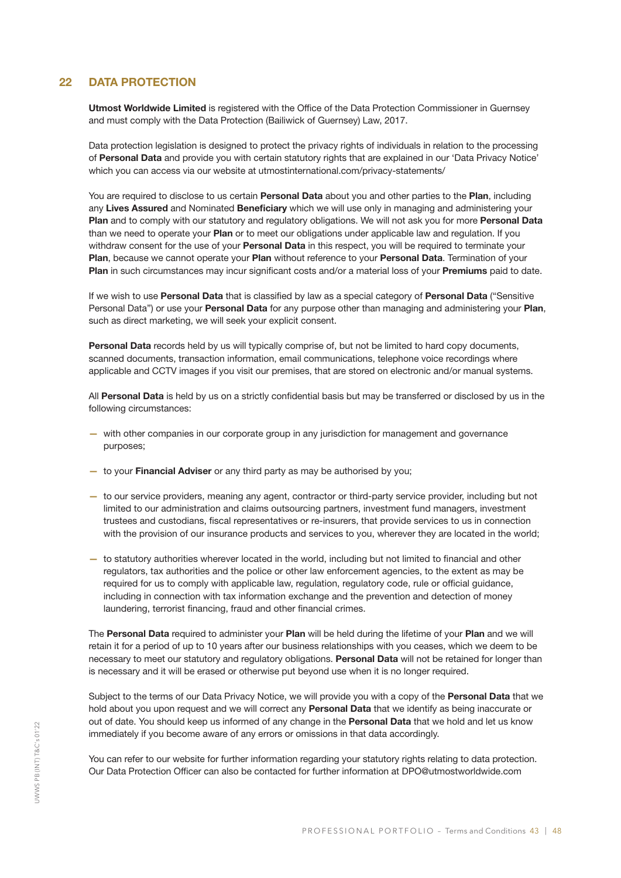#### 22 DATA PROTECTION

Utmost Worldwide Limited is registered with the Office of the Data Protection Commissioner in Guernsey and must comply with the Data Protection (Bailiwick of Guernsey) Law, 2017.

Data protection legislation is designed to protect the privacy rights of individuals in relation to the processing of Personal Data and provide you with certain statutory rights that are explained in our 'Data Privacy Notice' which you can access via our website at utmostinternational.com/privacy-statements/

You are required to disclose to us certain Personal Data about you and other parties to the Plan, including any Lives Assured and Nominated Beneficiary which we will use only in managing and administering your Plan and to comply with our statutory and regulatory obligations. We will not ask you for more Personal Data than we need to operate your Plan or to meet our obligations under applicable law and regulation. If you withdraw consent for the use of your Personal Data in this respect, you will be required to terminate your Plan, because we cannot operate your Plan without reference to your Personal Data. Termination of your Plan in such circumstances may incur significant costs and/or a material loss of your Premiums paid to date.

If we wish to use Personal Data that is classified by law as a special category of Personal Data ("Sensitive Personal Data") or use your Personal Data for any purpose other than managing and administering your Plan, such as direct marketing, we will seek your explicit consent.

Personal Data records held by us will typically comprise of, but not be limited to hard copy documents, scanned documents, transaction information, email communications, telephone voice recordings where applicable and CCTV images if you visit our premises, that are stored on electronic and/or manual systems.

All Personal Data is held by us on a strictly confidential basis but may be transferred or disclosed by us in the following circumstances:

- with other companies in our corporate group in any jurisdiction for management and governance purposes;
- to your Financial Adviser or any third party as may be authorised by you;
- to our service providers, meaning any agent, contractor or third-party service provider, including but not limited to our administration and claims outsourcing partners, investment fund managers, investment trustees and custodians, fiscal representatives or re-insurers, that provide services to us in connection with the provision of our insurance products and services to you, wherever they are located in the world;
- to statutory authorities wherever located in the world, including but not limited to financial and other regulators, tax authorities and the police or other law enforcement agencies, to the extent as may be required for us to comply with applicable law, regulation, regulatory code, rule or official guidance, including in connection with tax information exchange and the prevention and detection of money laundering, terrorist financing, fraud and other financial crimes.

The Personal Data required to administer your Plan will be held during the lifetime of your Plan and we will retain it for a period of up to 10 years after our business relationships with you ceases, which we deem to be necessary to meet our statutory and regulatory obligations. Personal Data will not be retained for longer than is necessary and it will be erased or otherwise put beyond use when it is no longer required.

Subject to the terms of our Data Privacy Notice, we will provide you with a copy of the Personal Data that we hold about you upon request and we will correct any Personal Data that we identify as being inaccurate or out of date. You should keep us informed of any change in the Personal Data that we hold and let us know immediately if you become aware of any errors or omissions in that data accordingly.

You can refer to our website for further information regarding your statutory rights relating to data protection. Our Data Protection Officer can also be contacted for further information at DPO@utmostworldwide.com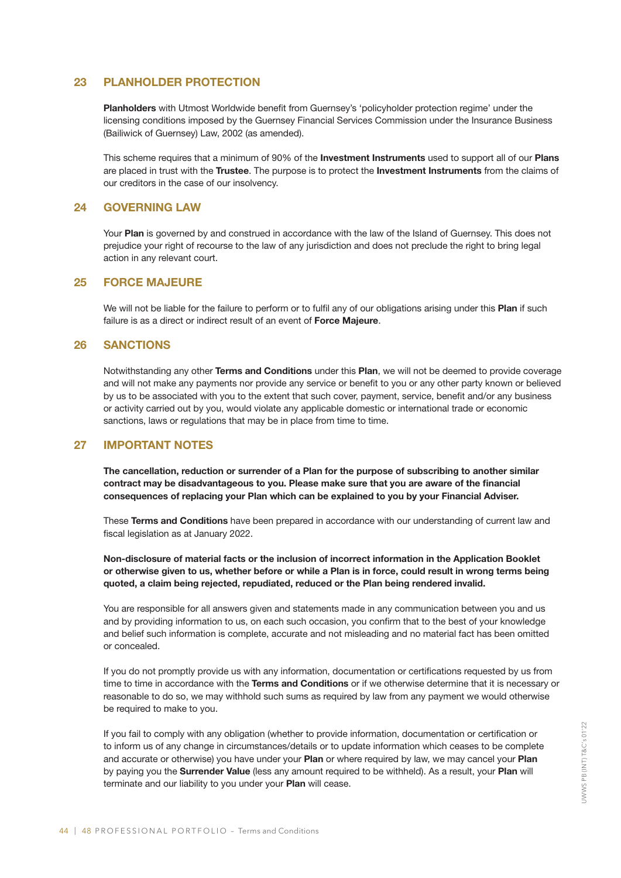#### 23 PLANHOLDER PROTECTION

Planholders with Utmost Worldwide benefit from Guernsey's 'policyholder protection regime' under the licensing conditions imposed by the Guernsey Financial Services Commission under the Insurance Business (Bailiwick of Guernsey) Law, 2002 (as amended).

This scheme requires that a minimum of 90% of the **Investment Instruments** used to support all of our **Plans** are placed in trust with the Trustee. The purpose is to protect the Investment Instruments from the claims of our creditors in the case of our insolvency.

#### 24 GOVERNING LAW

Your Plan is governed by and construed in accordance with the law of the Island of Guernsey. This does not prejudice your right of recourse to the law of any jurisdiction and does not preclude the right to bring legal action in any relevant court.

#### 25 FORCE MAJEURE

We will not be liable for the failure to perform or to fulfil any of our obligations arising under this Plan if such failure is as a direct or indirect result of an event of **Force Majeure**.

#### 26 SANCTIONS

Notwithstanding any other Terms and Conditions under this Plan, we will not be deemed to provide coverage and will not make any payments nor provide any service or benefit to you or any other party known or believed by us to be associated with you to the extent that such cover, payment, service, benefit and/or any business or activity carried out by you, would violate any applicable domestic or international trade or economic sanctions, laws or regulations that may be in place from time to time.

#### 27 IMPORTANT NOTES

The cancellation, reduction or surrender of a Plan for the purpose of subscribing to another similar contract may be disadvantageous to you. Please make sure that you are aware of the financial consequences of replacing your Plan which can be explained to you by your Financial Adviser.

These Terms and Conditions have been prepared in accordance with our understanding of current law and fiscal legislation as at January 2022.

Non-disclosure of material facts or the inclusion of incorrect information in the Application Booklet or otherwise given to us, whether before or while a Plan is in force, could result in wrong terms being quoted, a claim being rejected, repudiated, reduced or the Plan being rendered invalid.

You are responsible for all answers given and statements made in any communication between you and us and by providing information to us, on each such occasion, you confirm that to the best of your knowledge and belief such information is complete, accurate and not misleading and no material fact has been omitted or concealed.

If you do not promptly provide us with any information, documentation or certifications requested by us from time to time in accordance with the Terms and Conditions or if we otherwise determine that it is necessary or reasonable to do so, we may withhold such sums as required by law from any payment we would otherwise be required to make to you.

If you fail to comply with any obligation (whether to provide information, documentation or certification or to inform us of any change in circumstances/details or to update information which ceases to be complete and accurate or otherwise) you have under your Plan or where required by law, we may cancel your Plan by paying you the **Surrender Value** (less any amount required to be withheld). As a result, your Plan will terminate and our liability to you under your Plan will cease.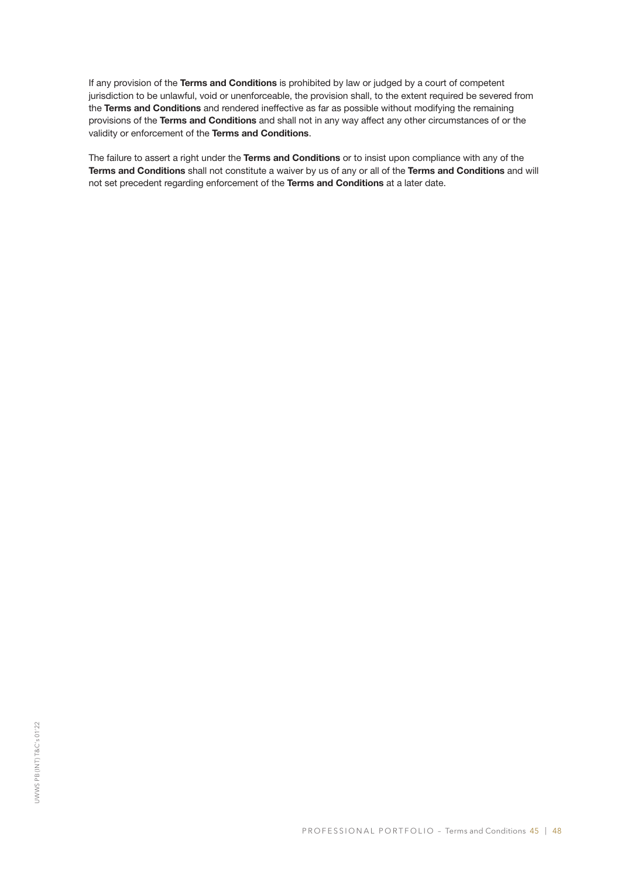If any provision of the Terms and Conditions is prohibited by law or judged by a court of competent jurisdiction to be unlawful, void or unenforceable, the provision shall, to the extent required be severed from the Terms and Conditions and rendered ineffective as far as possible without modifying the remaining provisions of the Terms and Conditions and shall not in any way affect any other circumstances of or the validity or enforcement of the Terms and Conditions.

The failure to assert a right under the Terms and Conditions or to insist upon compliance with any of the Terms and Conditions shall not constitute a waiver by us of any or all of the Terms and Conditions and will not set precedent regarding enforcement of the Terms and Conditions at a later date.